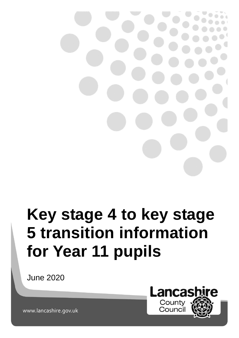# **Key stage 4 to key stage 5 transition information for Year 11 pupils**

June 2020



www.lancashire.gov.uk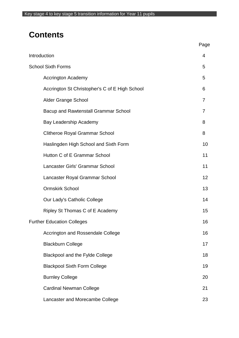# **Contents**

|                                                | Page           |
|------------------------------------------------|----------------|
| Introduction                                   | 4              |
| <b>School Sixth Forms</b>                      | 5              |
| <b>Accrington Academy</b>                      | 5              |
| Accrington St Christopher's C of E High School | 6              |
| <b>Alder Grange School</b>                     | $\overline{7}$ |
| <b>Bacup and Rawtenstall Grammar School</b>    | 7              |
| Bay Leadership Academy                         | 8              |
| <b>Clitheroe Royal Grammar School</b>          | 8              |
| Haslingden High School and Sixth Form          | 10             |
| Hutton C of E Grammar School                   | 11             |
| Lancaster Girls' Grammar School                | 11             |
| Lancaster Royal Grammar School                 | 12             |
| <b>Ormskirk School</b>                         | 13             |
| Our Lady's Catholic College                    | 14             |
| Ripley St Thomas C of E Academy                | 15             |
| <b>Further Education Colleges</b>              | 16             |
| Accrington and Rossendale College              | 16             |
| <b>Blackburn College</b>                       | 17             |
| <b>Blackpool and the Fylde College</b>         | 18             |
| <b>Blackpool Sixth Form College</b>            | 19             |
| <b>Burnley College</b>                         | 20             |
| <b>Cardinal Newman College</b>                 | 21             |
| Lancaster and Morecambe College                | 23             |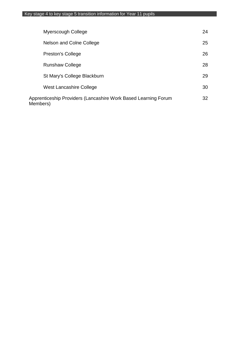| Myerscough College                                                         | 24 |
|----------------------------------------------------------------------------|----|
| Nelson and Colne College                                                   | 25 |
| <b>Preston's College</b>                                                   | 26 |
| <b>Runshaw College</b>                                                     | 28 |
| St Mary's College Blackburn                                                | 29 |
| West Lancashire College                                                    | 30 |
| Apprenticeship Providers (Lancashire Work Based Learning Forum<br>Members) | 32 |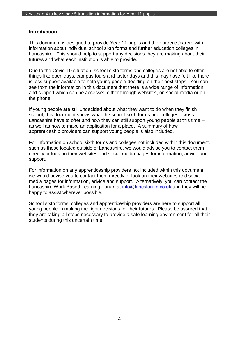#### **Introduction**

This document is designed to provide Year 11 pupils and their parents/carers with information about individual school sixth forms and further education colleges in Lancashire. This should help to support any decisions they are making about their futures and what each institution is able to provide.

Due to the Covid-19 situation, school sixth forms and colleges are not able to offer things like open days, campus tours and taster days and this may have felt like there is less support available to help young people deciding on their next steps. You can see from the information in this document that there is a wide range of information and support which can be accessed either through websites, on social media or on the phone.

If young people are still undecided about what they want to do when they finish school, this document shows what the school sixth forms and colleges across Lancashire have to offer and how they can still support young people at this time – as well as how to make an application for a place. A summary of how apprenticeship providers can support young people is also included.

For information on school sixth forms and colleges not included within this document, such as those located outside of Lancashire, we would advise you to contact them directly or look on their websites and social media pages for information, advice and support.

For information on any apprenticeship providers not included within this document, we would advise you to contact them directly or look on their websites and social media pages for information, advice and support. Alternatively, you can contact the Lancashire Work Based Learning Forum at *info@lancsforum.co.uk* and they will be happy to assist wherever possible.

School sixth forms, colleges and apprenticeship providers are here to support all young people in making the right decisions for their futures. Please be assured that they are taking all steps necessary to provide a safe learning environment for all their students during this uncertain time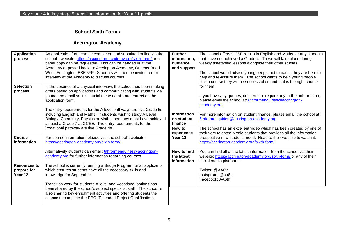#### **School Sixth Forms**

### **Accrington Academy**

| <b>Application</b><br>process<br><b>Selection</b> | An application form can be completed and submitted online via the<br>school's website: https://accrington-academy.org/sixth-form/ or a<br>paper copy can be requested. This can be handed in at the<br>Academy or posted back to: Accrington Academy, Queens Road<br>West, Accrington, BB5 5FF. Students will then be invited for an<br>interview at the Academy to discuss courses.<br>In the absence of a physical interview, the school has been making | <b>Further</b><br>information.<br>guidance<br>and support | The school offers GCSE re-sits in English and Maths for any students<br>that have not achieved a Grade 4. These will take place during<br>weekly timetabled lessons alongside their other studies.<br>The school would advise young people not to panic, they are here to<br>help and re-assure them. The school wants to help young people<br>pick a course they will be successful on and that is the right course<br>for them. |
|---------------------------------------------------|------------------------------------------------------------------------------------------------------------------------------------------------------------------------------------------------------------------------------------------------------------------------------------------------------------------------------------------------------------------------------------------------------------------------------------------------------------|-----------------------------------------------------------|-----------------------------------------------------------------------------------------------------------------------------------------------------------------------------------------------------------------------------------------------------------------------------------------------------------------------------------------------------------------------------------------------------------------------------------|
| process                                           | offers based on applications and communicating with students via<br>phone and email so it is crucial these details are correct on the<br>application form.<br>The entry requirements for the A level pathways are five Grade 5s                                                                                                                                                                                                                            |                                                           | If you have any queries, concerns or require any further information,<br>please email the school at: 6thformenquiries@accrington-<br>academy.org.                                                                                                                                                                                                                                                                                 |
|                                                   | including English and Maths. If students wish to study A Level<br>Biology, Chemistry, Physics or Maths then they must have achieved<br>at least a Grade 7 at GCSE. The entry requirements for the                                                                                                                                                                                                                                                          | <b>Information</b><br>on student<br>finance               | For more information on student finance, please email the school at:<br>6thformenquiries@accrington-academy.org.                                                                                                                                                                                                                                                                                                                  |
| <b>Course</b>                                     | Vocational pathway are five Grade 4s.<br>For course information, please visit the school's website:                                                                                                                                                                                                                                                                                                                                                        | How to<br>experience<br>Year 12                           | The school has an excellent video which has been created by one of<br>their very talented Media students that provides all the information<br>prospective new students need. Head to their website to watch it:                                                                                                                                                                                                                   |
| information                                       | https://accrington-academy.org/sixth-form/.                                                                                                                                                                                                                                                                                                                                                                                                                |                                                           | https://accrington-academy.org/sixth-form/.                                                                                                                                                                                                                                                                                                                                                                                       |
|                                                   | Alternatively students can email: 6thformenquiries@accrington-<br>academy.org for further information regarding courses.                                                                                                                                                                                                                                                                                                                                   | How to find<br>the latest<br>information                  | You can find all of the latest information from the school via their<br>website: https://accrington-academy.org/sixth-form/ or any of their<br>social media platforms:                                                                                                                                                                                                                                                            |
| <b>Resources to</b><br>prepare for<br>Year 12     | The school is currently running a Bridge Program for all applicants<br>which ensures students have all the necessary skills and<br>knowledge for September.<br>Transition work for students A level and Vocational options has                                                                                                                                                                                                                             |                                                           | Twitter: @AA6th<br>Instagram: @aa6th<br>Facebook: AA6th                                                                                                                                                                                                                                                                                                                                                                           |
|                                                   | been shared by the school's subject specialist staff. The school is<br>also sharing key enrichment activities and offering students the<br>chance to complete the EPQ (Extended Project Qualification).                                                                                                                                                                                                                                                    |                                                           |                                                                                                                                                                                                                                                                                                                                                                                                                                   |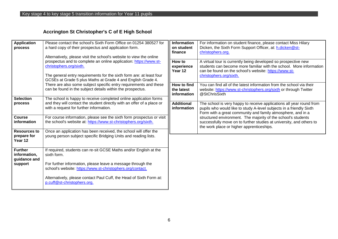# **Accrington St Christopher's C of E High School**

| <b>Application</b><br>process                  | Please contact the school's Sixth Form Office on 01254 380527 for<br>a hard copy of their prospectus and application form.                                                                                                                                                                                 | <b>Information</b><br>on student<br>finance | For information on student finance, please contact Miss Hilary<br>Dicken, the Sixth Form Support Officer, at: h.dicken@st-<br>christophers.org.                                                                           |
|------------------------------------------------|------------------------------------------------------------------------------------------------------------------------------------------------------------------------------------------------------------------------------------------------------------------------------------------------------------|---------------------------------------------|---------------------------------------------------------------------------------------------------------------------------------------------------------------------------------------------------------------------------|
|                                                | Alternatively, please visit the school's website to view the online<br>prospectus and to complete an online application: https://www.st-<br>christophers.org/sixth.<br>The general entry requirements for the sixth form are: at least four<br>GCSEs at Grade 5 plus Maths at Grade 4 and English Grade 4. | How to<br>experience<br>Year 12             | A virtual tour is currently being developed so prospective new<br>students can become more familiar with the school. More information<br>can be found on the school's website: https://www.st-<br>christophers.org/sixth. |
|                                                | There are also some subject specific entry requirements and these<br>can be found in the subject details within the prospectus.                                                                                                                                                                            | How to find<br>the latest<br>information    | You can find all of the latest information from the school via their<br>website: https://www.st-christophers.org/sixth or through Twitter<br>@StChrisSixth                                                                |
| <b>Selection</b><br>process                    | The school is happy to receive completed online application forms<br>and they will contact the student directly with an offer of a place or<br>with a request for further information.                                                                                                                     | <b>Additional</b><br>information            | The school is very happy to receive applications all year round from<br>pupils who would like to study A-level subjects in a friendly Sixth<br>Form with a great community and family atmosphere, and in a                |
| <b>Course</b><br>information                   | For course information, please see the sixth form prospectus or visit<br>the school's website at: https://www.st-christophers.org/sixth.                                                                                                                                                                   |                                             | structured environment. The majority of the school's students<br>successfully move on to further studies at university, and others to<br>the work place or higher apprenticeships.                                        |
| <b>Resources to</b><br>prepare for<br>Year 12  | Once an application has been received, the school will offer the<br>young person subject specific Bridging Units and reading lists.                                                                                                                                                                        |                                             |                                                                                                                                                                                                                           |
| <b>Further</b><br>information,<br>guidance and | If required, students can re-sit GCSE Maths and/or English at the<br>sixth form.                                                                                                                                                                                                                           |                                             |                                                                                                                                                                                                                           |
| support                                        | For further information, please leave a message through the<br>school's website: https://www.st-christophers.org/contact.                                                                                                                                                                                  |                                             |                                                                                                                                                                                                                           |
|                                                | Alternatively, please contact Paul Cuff, the Head of Sixth Form at:<br>p.cuff@st-christophers.org.                                                                                                                                                                                                         |                                             |                                                                                                                                                                                                                           |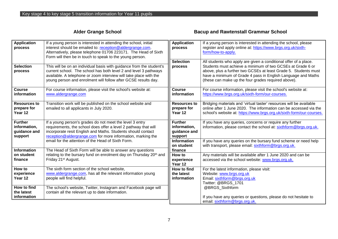### **Alder Grange School**

### **Bacup and Rawtenstall Grammar School**

| <b>Application</b><br>process                             | If a young person is interested in attending the school, initial<br>interest should be emailed to: reception@aldergrange.com.<br>Alternatively, please telephone 01706 223171. The Head of Sixth<br>Form will then be in touch to speak to the young person.                    | <b>Application</b><br>process                             | If a young person is interested in attending the school, please<br>register and apply online at: https://www.brgs.org.uk/sixth-<br>form/how-to-apply.                                                                                                                                                                    |
|-----------------------------------------------------------|---------------------------------------------------------------------------------------------------------------------------------------------------------------------------------------------------------------------------------------------------------------------------------|-----------------------------------------------------------|--------------------------------------------------------------------------------------------------------------------------------------------------------------------------------------------------------------------------------------------------------------------------------------------------------------------------|
| <b>Selection</b><br>process                               | This will be on an individual basis with guidance from the student's<br>current school. The school has both level 2 and level 3 pathways<br>available. A telephone or zoom interview will take place with the<br>young person and enrolment will follow after GCSE results day. | <b>Selection</b><br>process                               | All students who apply are given a conditional offer of a place.<br>Students must achieve a minimum of two GCSEs at Grade 6 or<br>above, plus a further two GCSEs at least Grade 5. Students must<br>have a minimum of Grade 4 pass in English Language and Maths<br>(these can make up the four grades required above). |
| <b>Course</b><br>information                              | For course information, please visit the school's website at:<br>www.aldergrange.com                                                                                                                                                                                            | <b>Course</b><br>information                              | For course information, please visit the school's website at:<br>https://www.brgs.org.uk/sixth-form/our-courses.                                                                                                                                                                                                         |
| <b>Resources to</b><br>prepare for<br>Year 12             | Transition work will be published on the school website and<br>emailed to all applicants in July 2020.                                                                                                                                                                          | <b>Resources to</b><br>prepare for<br>Year 12             | Bridging materials and 'virtual taster' resources will be available<br>online after 1 June 2020. The information can be accessed via the<br>school's website at: https://www.brgs.org.uk/sixth-form/our-courses.                                                                                                         |
| <b>Further</b><br>information,<br>guidance and<br>support | If a young person's grades do not meet the level 3 entry<br>requirements, the school does offer a level 2 pathway that will<br>incorporate resit English and Maths. Students should contact<br>reception@aldergrange.com for more information, marking the                      | <b>Further</b><br>information,<br>guidance and<br>support | If you have any queries, concerns or require any further<br>information, please contact the school at: sixthform@brgs.org.uk.                                                                                                                                                                                            |
| <b>Information</b>                                        | email for the attention of the Head of Sixth Form.<br>The Head of Sixth Form will be able to answer any questions                                                                                                                                                               | <b>Information</b><br>on student<br>finance               | If you have any queries on the bursary fund scheme or need help<br>with transport, please email: sixthform@brgs.org.uk.                                                                                                                                                                                                  |
| on student<br>finance                                     | relating to the bursary fund on enrolment day on Thursday 20 <sup>th</sup> and<br>Friday 21 <sup>st</sup> August.                                                                                                                                                               | How to<br>experience<br>Year 12                           | Any materials will be available after 1 June 2020 and can be<br>accessed via the school website: www.brgs.org.uk.                                                                                                                                                                                                        |
| How to<br>experience<br>Year 12                           | The sixth form section of the school website,<br>www.aldergrange.com, has all the relevant information young<br>people will find helpful.                                                                                                                                       | <b>How to find</b><br>the latest<br>information           | For the latest information, please visit:<br>Website: www.brgs.org.uk<br>Email: sixthform@brgs.org.uk<br>Twitter: @BRGS_1701                                                                                                                                                                                             |
| How to find<br>the latest<br>information                  | The school's website, Twitter, Instagram and Facebook page will<br>contain all the relevant up to date information.                                                                                                                                                             |                                                           | @BRGS_Sixthform<br>If you have any queries or questions, please do not hesitate to<br>email: sixthform@brgs.org.uk.                                                                                                                                                                                                      |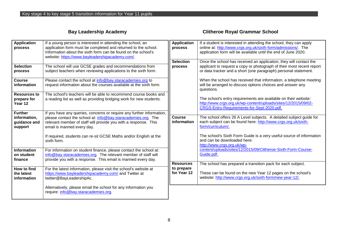### **Bay Leadership Academy**

**Clitheroe Royal Grammar School**

| <b>Application</b><br>process                             | If a young person is interested in attending the school, an<br>application form must be completed and returned to the school.<br>Information about the sixth form can be found on the school's<br>website: https://www.bayleadershipacademy.com/. | <b>Application</b><br>process                 | If a student is interested in attending the school, they can apply<br>online at: http://www.crgs.org.uk/sixth-form/admissions/. The<br>application form will be available until the end of June 2020.          |
|-----------------------------------------------------------|---------------------------------------------------------------------------------------------------------------------------------------------------------------------------------------------------------------------------------------------------|-----------------------------------------------|----------------------------------------------------------------------------------------------------------------------------------------------------------------------------------------------------------------|
| <b>Selection</b><br>process                               | The school will use GCSE grades and recommendations from<br>subject teachers when reviewing applications to the sixth form.                                                                                                                       | <b>Selection</b><br>process                   | Once the school has received an application, they will contact the<br>applicant to request a copy or photograph of their most recent report<br>or data tracker and a short (one paragraph) personal statement. |
| <b>Course</b><br>information                              | Please contact the school at info@bay.staracademies.org to<br>request information about the courses available at the sixth form.                                                                                                                  |                                               | When the school has received that information, a telephone meeting<br>will be arranged to discuss options choices and answer any<br>questions.                                                                 |
| Resources to<br>prepare for<br>Year 12                    | The school's teachers will be able to recommend course books and<br>a reading list as well as providing bridging work for new students.                                                                                                           |                                               | The school's entry requirements are available on their website:<br>http://www.crgs.org.uk/wp-content/uploads/sites/12/2015/09/02-<br>CRGS-Entry-Requirements-for-Sept-2020.pdf.                                |
| <b>Further</b><br>information,<br>guidance and<br>support | If you have any queries, concerns or require any further information,<br>please contact the school at: info@bay.staracademies.org. The<br>relevant member of staff will provide you with a response. This<br>email is manned every day.           | <b>Course</b><br>information                  | The school offers 26 A Level subjects. A detailed subject guide for<br>each subject can be found here: http://www.crgs.org.uk/sixth-<br>form/curriculum/.                                                      |
|                                                           | If required, students can re-sit GCSE Maths and/or English at the<br>sixth form.                                                                                                                                                                  |                                               | The school's Sixth Form Guide is a very useful source of information<br>and can be downloaded here:<br>http://www.crgs.org.uk/wp-                                                                              |
| <b>Information</b><br>on student<br>finance               | For information on student finance, please contact the school at:<br>info@bay.staracademies.org. The relevant member of staff will<br>provide you with a response. This email is manned every day.                                                |                                               | content/uploads/sites/12/2015/09/Clitheroe-Sixth-Form-Course-<br>Guide.pdf.                                                                                                                                    |
| How to find<br>the latest<br>information                  | For the latest information, please visit the school's website at<br>https://www.bayleadershipacademy.com/ and Twitter at<br>twitter@BayLeadershipAc.                                                                                              | <b>Resources</b><br>to prepare<br>for Year 12 | The school has prepared a transition pack for each subject.<br>These can be found on the new Year 12 pages on the school's<br>website: http://www.crgs.org.uk/sixth-form/new-year-12/.                         |
|                                                           | Alternatively, please email the school for any information you<br>require: info@bay.staracademies.org.                                                                                                                                            |                                               |                                                                                                                                                                                                                |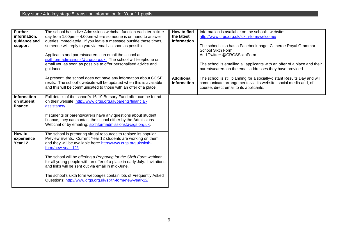| <b>Further</b><br>information,<br>guidance and<br>support | The school has a live Admissions webchat function each term-time<br>day from $1.00 \text{pm} - 4.00 \text{pm}$ where someone is on hand to answer<br>queries immediately. If you leave a message outside these times,<br>someone will reply to you via email as soon as possible.<br>Applicants and parents/carers can email the school at:<br>sixthformadmissions@crgs.org.uk. The school will telephone or<br>email you as soon as possible to offer personalised advice and<br>guidance.                                                                        | How to find<br>the latest<br>information | Information is available on the school's website:<br>http://www.crgs.org.uk/sixth-form/welcome/<br>The school also has a Facebook page: Clitheroe Royal Grammar<br>School Sixth Form<br>And Twitter: @CRGSSixthForm<br>The school is emailing all applicants with an offer of a place and their<br>parents/carers on the email addresses they have provided. |
|-----------------------------------------------------------|--------------------------------------------------------------------------------------------------------------------------------------------------------------------------------------------------------------------------------------------------------------------------------------------------------------------------------------------------------------------------------------------------------------------------------------------------------------------------------------------------------------------------------------------------------------------|------------------------------------------|--------------------------------------------------------------------------------------------------------------------------------------------------------------------------------------------------------------------------------------------------------------------------------------------------------------------------------------------------------------|
|                                                           | At present, the school does not have any information about GCSE<br>resits. The school's website will be updated when this is available<br>and this will be communicated to those with an offer of a place.                                                                                                                                                                                                                                                                                                                                                         | <b>Additional</b><br>information         | The school is still planning for a socially-distant Results Day and will<br>communicate arrangements via its website, social media and, of<br>course, direct email to its applicants.                                                                                                                                                                        |
| <b>Information</b><br>on student<br>finance               | Full details of the school's 16-19 Bursary Fund offer can be found<br>on their website: http://www.crgs.org.uk/parents/financial-<br>assistance/.<br>If students or parents/carers have any questions about student<br>finance, they can contact the school either by the Admissions<br>Webchat or by emailing: sixthformadmissions@crgs.org.uk.                                                                                                                                                                                                                   |                                          |                                                                                                                                                                                                                                                                                                                                                              |
| How to<br>experience<br>Year 12                           | The school is preparing virtual resources to replace its popular<br>Preview Events. Current Year 12 students are working on them<br>and they will be available here: http://www.crgs.org.uk/sixth-<br>form/new-year-12/.<br>The school will be offering a Preparing for the Sixth Form webinar<br>for all young people with an offer of a place in early July. Invitations<br>and links will be sent out via email in mid-June.<br>The school's sixth form webpages contain lots of Frequently Asked<br>Questions: http://www.crgs.org.uk/sixth-form/new-year-12/. |                                          |                                                                                                                                                                                                                                                                                                                                                              |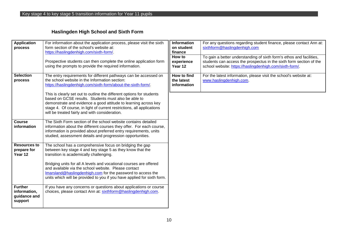# **Haslingden High School and Sixth Form**

| <b>Application</b><br>process                             | For information about the application process, please visit the sixth<br>form section of the school's website at:<br>https://haslingdenhigh.com/sixth-form/.<br>Prospective students can then complete the online application form<br>using the prompts to provide the required information.                                                                                                                                                                                                                       | <b>Information</b><br>on student<br>finance<br>How to<br>experience<br>Year 12 | For any questions regarding student finance, please contact Ann at:<br>sixthform@haslingdenhigh.com<br>To gain a better understanding of sixth form's ethos and facilities,<br>students can access the prospectus in the sixth form section of the<br>school website: https://haslingdenhigh.com/sixth-form/. |
|-----------------------------------------------------------|--------------------------------------------------------------------------------------------------------------------------------------------------------------------------------------------------------------------------------------------------------------------------------------------------------------------------------------------------------------------------------------------------------------------------------------------------------------------------------------------------------------------|--------------------------------------------------------------------------------|---------------------------------------------------------------------------------------------------------------------------------------------------------------------------------------------------------------------------------------------------------------------------------------------------------------|
| <b>Selection</b><br>process                               | The entry requirements for different pathways can be accessed on<br>the school website in the Information section:<br>https://haslingdenhigh.com/sixth-form/about-the-sixth-form/.<br>This is clearly set out to outline the different options for students<br>based on GCSE results. Students must also be able to<br>demonstrate and evidence a good attitude to learning across key<br>stage 4. Of course, in light of current restrictions, all applications<br>will be treated fairly and with consideration. | How to find<br>the latest<br>information                                       | For the latest information, please visit the school's website at:<br>www.haslingdenhigh.com.                                                                                                                                                                                                                  |
| <b>Course</b><br>information                              | The Sixth Form section of the school website contains detailed<br>information about the different courses they offer. For each course,<br>information is provided about preferred entry requirements, units<br>studied, assessment details and progression opportunities.                                                                                                                                                                                                                                          |                                                                                |                                                                                                                                                                                                                                                                                                               |
| <b>Resources to</b><br>prepare for<br>Year 12             | The school has a comprehensive focus on bridging the gap<br>between key stage 4 and key stage 5 as they know that the<br>transition is academically challenging.<br>Bridging units for all A levels and vocational courses are offered<br>and available via the school website. Please contact<br>Imarsland@haslingdenhigh.com for the password to access the<br>units which will be provided to you if you have applied for sixth form.                                                                           |                                                                                |                                                                                                                                                                                                                                                                                                               |
| <b>Further</b><br>information,<br>guidance and<br>support | If you have any concerns or questions about applications or course<br>choices, please contact Ann at: sixthform@haslingdenhigh.com.                                                                                                                                                                                                                                                                                                                                                                                |                                                                                |                                                                                                                                                                                                                                                                                                               |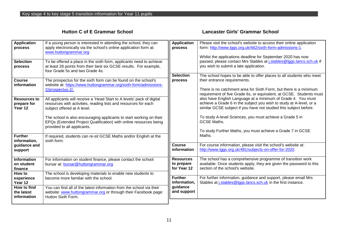#### **Hutton C of E Grammar School**

**Lancaster Girls' Grammar School**

| <b>Application</b><br>process<br><b>Selection</b><br>process | If a young person is interested in attending the school, they can<br>apply electronically via the school's online application form at:<br>www.huttongrammar.org<br>To be offered a place in the sixth form, applicants need to achieve<br>at least 28 points from their best six GCSE results. For example,<br>four Grade 5s and two Grade 4s.      | <b>Application</b><br>process<br><b>Selection</b> | Please visit the school's website to access their online application<br>form: http://www.lggs.org.uk/462/sixth-form-admissions-1.<br>Whilst the applications deadline for September 2020 has now<br>passed, please contact Mrs Stables at j.stables@lggs.lancs.sch.uk if<br>you wish to submit a late application.<br>The school hopes to be able to offer places to all students who meet |
|--------------------------------------------------------------|-----------------------------------------------------------------------------------------------------------------------------------------------------------------------------------------------------------------------------------------------------------------------------------------------------------------------------------------------------|---------------------------------------------------|--------------------------------------------------------------------------------------------------------------------------------------------------------------------------------------------------------------------------------------------------------------------------------------------------------------------------------------------------------------------------------------------|
| <b>Course</b><br>information                                 | The prospectus for the sixth form can be found on the school's<br>website at: https://www.huttongrammar.org/sixth-form/admissions-<br>2/prospectus-2/.                                                                                                                                                                                              | process                                           | their entrance requirements.<br>There is no catchment area for Sixth Form, but there is a minimum<br>requirement of five Grade 6s, or equivalent, at GCSE. Students must                                                                                                                                                                                                                   |
| <b>Resources to</b><br>prepare for<br>Year 12                | All applicants will receive a 'Head Start to A levels' pack of digital<br>resources with activities, reading lists and resources for each<br>subject offered at A level.<br>The school is also encouraging applicants to start working on their<br>EPQs (Extended Project Qualification) with online resources being<br>provided to all applicants. |                                                   | also have English Language at a minimum of Grade 4. You must<br>achieve a Grade 6 in the subject you wish to study at A-level, or a<br>similar GCSE subject if you have not studied this subject before.<br>To study A-level Sciences, you must achieve a Grade 5 in<br><b>GCSE Maths.</b><br>To study Further Maths, you must achieve a Grade 7 in GCSE                                   |
| <b>Further</b><br>information,                               | If required, students can re-sit GCSE Maths and/or English at the<br>sixth form.                                                                                                                                                                                                                                                                    |                                                   | Maths.                                                                                                                                                                                                                                                                                                                                                                                     |
| guidance and<br>support                                      |                                                                                                                                                                                                                                                                                                                                                     | <b>Course</b><br>information                      | For course information, please visit the school's website at:<br>http://www.lggs.org.uk/481/subjects-on-offer-for-2020.                                                                                                                                                                                                                                                                    |
| <b>Information</b><br>on student<br>finance<br>How to        | For information on student finance, please contact the school<br>bursar at: bursar@huttongrammar.org.                                                                                                                                                                                                                                               | <b>Resources</b><br>to prepare<br>for Year 12     | The school has a comprehensive programme of transition work<br>available. Once students apply, they are given the password to this<br>section of the school's website.                                                                                                                                                                                                                     |
| experience<br>Year 12                                        | The school is developing materials to enable new students to<br>become more familiar with the school.                                                                                                                                                                                                                                               | <b>Further</b><br>information,                    | For further information, guidance and support, please email Mrs<br>Stables at j.stables@lggs.lancs.sch.uk in the first instance.                                                                                                                                                                                                                                                           |
| How to find<br>the latest<br>information                     | You can find all of the latest information from the school via their<br>website: www.huttongrammar.org or through their Facebook page:<br>Hutton Sixth Form.                                                                                                                                                                                        | quidance<br>and support                           |                                                                                                                                                                                                                                                                                                                                                                                            |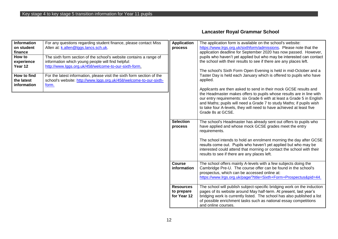### **Lancaster Royal Grammar School**

| <b>Information</b><br>on student<br>finance<br>How to<br>experience<br>Year 12<br>How to find<br>the latest<br>information | For any questions regarding student finance, please contact Miss<br>Allen at: k.allen@lggs.lancs.sch.uk.<br>The sixth form section of the school's website contains a range of<br>information which young people will find helpful:<br>http://www.lggs.org.uk/458/welcome-to-our-sixth-form.<br>For the latest information, please visit the sixth form section of the<br>school's website: http://www.lggs.org.uk/458/welcome-to-our-sixth-<br>form. | <b>Application</b><br>process                 | The application form is available on the school's website:<br>https://www.lrgs.org.uk/sixthform/admissions. Please note that the<br>application deadline for September 2020 has now passed. However,<br>pupils who haven't yet applied but who may be interested can contact<br>the school with their results to see if there are any places left.<br>The school's Sixth Form Open Evening is held in mid-October and a<br>Taster Day is held each January which is offered to pupils who have<br>applied.<br>Applicants are then asked to send in their mock GCSE results and<br>the Headmaster makes offers to pupils whose results are in line with<br>our entry requirements: six Grade 6 with at least a Grade 5 in English<br>and Maths; pupils will need a Grade 7 to study Maths; if pupils wish<br>to take four A-levels, they will need to have achieved at least five<br>Grade 8s at GCSE. |
|----------------------------------------------------------------------------------------------------------------------------|-------------------------------------------------------------------------------------------------------------------------------------------------------------------------------------------------------------------------------------------------------------------------------------------------------------------------------------------------------------------------------------------------------------------------------------------------------|-----------------------------------------------|-------------------------------------------------------------------------------------------------------------------------------------------------------------------------------------------------------------------------------------------------------------------------------------------------------------------------------------------------------------------------------------------------------------------------------------------------------------------------------------------------------------------------------------------------------------------------------------------------------------------------------------------------------------------------------------------------------------------------------------------------------------------------------------------------------------------------------------------------------------------------------------------------------|
|                                                                                                                            |                                                                                                                                                                                                                                                                                                                                                                                                                                                       | <b>Selection</b><br>process                   | The school's Headmaster has already sent out offers to pupils who<br>have applied and whose mock GCSE grades meet the entry<br>requirements.                                                                                                                                                                                                                                                                                                                                                                                                                                                                                                                                                                                                                                                                                                                                                          |
|                                                                                                                            |                                                                                                                                                                                                                                                                                                                                                                                                                                                       |                                               | The school intends to hold an enrolment morning the day after GCSE<br>results come out. Pupils who haven't yet applied but who may be<br>interested could attend that morning or contact the school with their<br>results to see if there are any places left.                                                                                                                                                                                                                                                                                                                                                                                                                                                                                                                                                                                                                                        |
|                                                                                                                            |                                                                                                                                                                                                                                                                                                                                                                                                                                                       | <b>Course</b><br>information                  | The school offers mainly A-levels with a few subjects doing the<br>Cambridge Pre-U. The course offer can be found in the school's<br>prospectus, which can be accessed online at:<br>https://www.lrgs.org.uk/page/?title=Sixth+Form+Prospectus&pid=44.                                                                                                                                                                                                                                                                                                                                                                                                                                                                                                                                                                                                                                                |
|                                                                                                                            |                                                                                                                                                                                                                                                                                                                                                                                                                                                       | <b>Resources</b><br>to prepare<br>for Year 12 | The school will publish subject-specific bridging work on the induction<br>pages of its website around May half-term. At present, last year's<br>bridging work is currently listed. The school has also published a list<br>of possible enrichment tasks such as national essay competitions<br>and online courses.                                                                                                                                                                                                                                                                                                                                                                                                                                                                                                                                                                                   |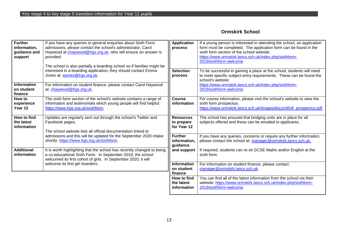#### **Ormskirk School**

| Further<br>information,<br>guidance and<br>support | If you have any queries or general enquiries about Sixth Form<br>admissions, please contact the school's administrator, Carol<br>Haywood at chaywood@lrgs.org.uk, who will ensure an answer is<br>provided.<br>The school is also partially a boarding school so if families might be | <b>Application</b><br>process                 | If a young person is interested in attending the school, an application<br>form must be completed. The application form can be found in the<br>sixth form section of the school website:<br>https://www.ormskirk.lancs.sch.uk/index.php/sixthform-<br>2019/sixthform-welcome. |
|----------------------------------------------------|---------------------------------------------------------------------------------------------------------------------------------------------------------------------------------------------------------------------------------------------------------------------------------------|-----------------------------------------------|-------------------------------------------------------------------------------------------------------------------------------------------------------------------------------------------------------------------------------------------------------------------------------|
|                                                    | interested in a boarding application, they should contact Emma<br>Jones at: ejones@lrgs.org.uk.                                                                                                                                                                                       | <b>Selection</b><br>process                   | To be successful in gaining a place at the school, students will need<br>to meet specific subject entry requirements. These can be found the<br>school's website:                                                                                                             |
| <b>Information</b><br>on student<br>finance        | For information on student finance, please contact Carol Haywood<br>at: chaywood@lrgs.org.uk.                                                                                                                                                                                         |                                               | https://www.ormskirk.lancs.sch.uk/index.php/sixthform-<br>2019/sixthform-welcome.                                                                                                                                                                                             |
| How to<br>experience<br>Year 12                    | The sixth form section of the school's website contains a range of<br>information and testimonials which young people will find helpful:<br>https://www.lrgs.org.uk/sixthform.                                                                                                        | <b>Course</b><br>information                  | For course information, please visit the school's website to view the<br>sixth form prospectus:<br>https://www.ormskirk.lancs.sch.uk/images/docs/vif/vif_prospectus.pdf.                                                                                                      |
| How to find<br>the latest<br>information           | Updates are regularly sent out through the school's Twitter and<br>Facebook pages.<br>The school website lists all official documentation linked to                                                                                                                                   | <b>Resources</b><br>to prepare<br>for Year 12 | The school has ensured that bridging units are in place for all<br>subjects offered and these can be emailed to applicants.                                                                                                                                                   |
|                                                    | admissions and this will be updated for the September 2020 intake<br>shortly: https://www.lrgs.org.uk/sixthform.                                                                                                                                                                      | <b>Further</b><br>information,<br>guidance    | If you have any queries, concerns or require any further information,<br>please contact the school at: manager@ormskirk.lancs.sch.uk.                                                                                                                                         |
| <b>Additional</b><br><i>information</i>            | It is worth highlighting that the school has recently changed to being<br>a co-educational Sixth Form. In September 2019, the school<br>welcomed its first cohort of girls. In September 2020, it will                                                                                | and support                                   | If required, students can re-sit GCSE Maths and/or English at the<br>sixth form.                                                                                                                                                                                              |
|                                                    | welcome its first girl boarders.                                                                                                                                                                                                                                                      | <b>Information</b><br>on student<br>finance   | For information on student finance, please contact:<br>manager@ormskirk.lancs.sch.uk.                                                                                                                                                                                         |
|                                                    |                                                                                                                                                                                                                                                                                       | How to find<br>the latest<br>information      | You can find all of the latest information from the school via their<br>website: https://www.ormskirk.lancs.sch.uk/index.php/sixthform-<br>2019/sixthform-welcome.                                                                                                            |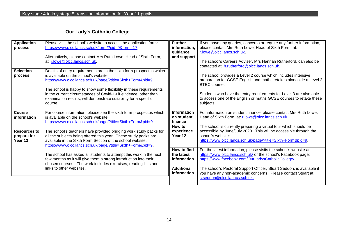# **Our Lady's Catholic College**

| <b>Application</b><br>process                 | Please visit the school's website to access the application form:<br>https://www.olcc.lancs.sch.uk/form/?pid=9&form=17.<br>Alternatively, please contact Mrs Ruth Lowe, Head of Sixth Form,<br>at: r.lowe@olcc.lancs.sch.uk.                                                                                                                                                                          | <b>Further</b><br>information,<br>guidance<br>and support | If you have any queries, concerns or require any further information,<br>please contact Mrs Ruth Lowe, Head of Sixth Form, at:<br>r.lowe@olcc.lancs.sch.uk.<br>The school's Careers Adviser, Mrs Hannah Rutherford, can also be<br>contacted at: h.rutherford@olcc.lancs.sch.uk.                             |
|-----------------------------------------------|-------------------------------------------------------------------------------------------------------------------------------------------------------------------------------------------------------------------------------------------------------------------------------------------------------------------------------------------------------------------------------------------------------|-----------------------------------------------------------|--------------------------------------------------------------------------------------------------------------------------------------------------------------------------------------------------------------------------------------------------------------------------------------------------------------|
| <b>Selection</b><br>process                   | Details of entry requirements are in the sixth form prospectus which<br>is available on the school's website:<br>https://www.olcc.lancs.sch.uk/page/?title=Sixth+Form&pid=9.<br>The school is happy to show some flexibility in these requirements<br>in the current circumstances of Covid-19 if evidence, other than<br>examination results, will demonstrate suitability for a specific<br>course. |                                                           | The school provides a Level 2 course which includes intensive<br>preparation for GCSE English and maths retakes alongside a Level 2<br>BTEC course.<br>Students who have the entry requirements for Level 3 are also able<br>to access one of the English or maths GCSE courses to retake these<br>subjects. |
| <b>Course</b><br>information                  | For course information, please see the sixth form prospectus which<br>is available on the school's website:<br>https://www.olcc.lancs.sch.uk/page/?title=Sixth+Form&pid=9.                                                                                                                                                                                                                            | <b>Information</b><br>on student<br>finance               | For information on student finance, please contact Mrs Ruth Lowe,<br>Head of Sixth Form, at: r.lowe@olcc.lancs.sch.uk.                                                                                                                                                                                       |
| <b>Resources to</b><br>prepare for<br>Year 12 | The school's teachers have provided bridging work study packs for<br>all the subjects being offered this year. These study packs are<br>available in the Sixth Form Section of the school website:<br>https://www.olcc.lancs.sch.uk/page/?title=Sixth+Form&pid=9.                                                                                                                                     | How to<br>experience<br>Year 12                           | The school is currently preparing a virtual tour which should be<br>accessible by June/July 2020. This will be accessible through the<br>school's website:<br>https://www.olcc.lancs.sch.uk/page/?title=Sixth+Form&pid=9.                                                                                    |
|                                               | The school has asked all students to attempt this work in the next<br>few months as it will give them a strong introduction into their<br>chosen courses. The work includes exercises, reading lists and                                                                                                                                                                                              | How to find<br>the latest<br>information                  | For the latest information, please visits the school's website at<br>https://www.olcc.lancs.sch.uk/ or the school's Facebook page:<br>https://www.facebook.com/OurLadysCatholicCollege/.                                                                                                                     |
|                                               | links to other websites.                                                                                                                                                                                                                                                                                                                                                                              | <b>Additional</b><br>information                          | The school's Pastoral Support Officer, Stuart Seddon, is available if<br>you have any non-academic concerns. Please contact Stuart at:<br>s.seddon@olcc.lanacs.sch.uk.                                                                                                                                       |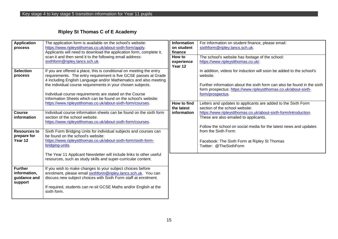# **Ripley St Thomas C of E Academy**

| <b>Application</b><br>process<br><b>Selection</b><br>process<br>Course | The application form is available on the school's website:<br>https://www.ripleystthomas.co.uk/about-sixth-form/apply.<br>Applicants will need to download the application form, complete it,<br>scan it and then send it to the following email address:<br>sixthform@ripley.lancs.sch.uk.<br>If you are offered a place, this is conditional on meeting the entry<br>requirements. The entry requirement is five GCSE passes at Grade<br>4 including English Language and/or Mathematics and also meeting<br>the individual course requirements in your chosen subjects.<br>Individual course requirements are stated on the Course<br>Information Sheets which can be found on the school's website:<br>https://www.ripleystthomas.co.uk/about-sixth-form/courses.<br>Individual course information sheets can be found on the sixth form | <b>Information</b><br>on student<br>finance<br>How to<br>experience<br>Year 12<br><b>How to find</b><br>the latest | For information on student finance, please email:<br>sixthform@ripley.lancs.sch.uk.<br>The school's website has footage of the school:<br>https://www.ripleystthomas.co.uk/.<br>In addition, videos for induction will soon be added to the school's<br>website.<br>Further information about the sixth form can also be found in the sixth<br>form prospectus: https://www.ripleystthomas.co.uk/about-sixth-<br>form/prospectus.<br>Letters and updates to applicants are added to the Sixth Form<br>section of the school website:<br>https://www.ripleystthomas.co.uk/about-sixth-form/introduction. |
|------------------------------------------------------------------------|----------------------------------------------------------------------------------------------------------------------------------------------------------------------------------------------------------------------------------------------------------------------------------------------------------------------------------------------------------------------------------------------------------------------------------------------------------------------------------------------------------------------------------------------------------------------------------------------------------------------------------------------------------------------------------------------------------------------------------------------------------------------------------------------------------------------------------------------|--------------------------------------------------------------------------------------------------------------------|---------------------------------------------------------------------------------------------------------------------------------------------------------------------------------------------------------------------------------------------------------------------------------------------------------------------------------------------------------------------------------------------------------------------------------------------------------------------------------------------------------------------------------------------------------------------------------------------------------|
| information                                                            | section of the school website:<br>https://www.ripleystthomas.co.uk/about-sixth-form/courses.                                                                                                                                                                                                                                                                                                                                                                                                                                                                                                                                                                                                                                                                                                                                                 | information                                                                                                        | These are also emailed to applicants.<br>Follow the school on social media for the latest news and updates                                                                                                                                                                                                                                                                                                                                                                                                                                                                                              |
| <b>Resources to</b><br>prepare for<br>Year 12                          | Sixth Form Bridging Units for individual subjects and courses can<br>be found on the school's website:<br>https://www.ripleystthomas.co.uk/about-sixth-form/sixth-form-<br>bridging-units<br>The Year 11 Applicant Newsletter will include links to other useful<br>resources, such as study skills and super-curricular content.                                                                                                                                                                                                                                                                                                                                                                                                                                                                                                            |                                                                                                                    | from the Sixth Form:<br>Facebook: The Sixth Form at Ripley St Thomas<br>Twitter: @TheSixthForm                                                                                                                                                                                                                                                                                                                                                                                                                                                                                                          |
| <b>Further</b><br>information,<br>guidance and<br>support              | If you wish to make changes to your subject choices before<br>enrolment, please email sixthform@ripley.lancs.sch.uk. You can<br>discuss new subject choices with Sixth Form staff at enrolment.<br>If required, students can re-sit GCSE Maths and/or English at the<br>sixth form.                                                                                                                                                                                                                                                                                                                                                                                                                                                                                                                                                          |                                                                                                                    |                                                                                                                                                                                                                                                                                                                                                                                                                                                                                                                                                                                                         |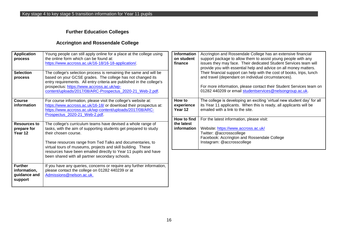### **Further Education Colleges**

### **Accrington and Rossendale College**

| <b>Application</b><br>process<br><b>Selection</b><br>process | Young people can still apply online for a place at the college using<br>the online form which can be found at:<br>https://www.accross.ac.uk/16-18/16-18-application/.<br>The college's selection process is remaining the same and will be<br>based on your GCSE grades. The college has not changed its<br>entry requirements. All entry criteria are published in the college's<br>prospectus: https://www.accross.ac.uk/wp-<br>content/uploads/2017/08/ARC-Prospectus_2020-21_Web-2.pdf. | <b>Information</b><br>on student<br>finance    | Accrington and Rossendale College has an extensive financial<br>support package to allow them to assist young people with any<br>issues they may face. Their dedicated Student Services team will<br>provide you with essential help and advice on all money matters.<br>Their financial support can help with the cost of books, trips, lunch<br>and travel (dependant on individual circumstances).<br>For more information, please contact their Student Services team on<br>01282 440209 or email studentservices@nelsongroup.ac.uk. |
|--------------------------------------------------------------|---------------------------------------------------------------------------------------------------------------------------------------------------------------------------------------------------------------------------------------------------------------------------------------------------------------------------------------------------------------------------------------------------------------------------------------------------------------------------------------------|------------------------------------------------|------------------------------------------------------------------------------------------------------------------------------------------------------------------------------------------------------------------------------------------------------------------------------------------------------------------------------------------------------------------------------------------------------------------------------------------------------------------------------------------------------------------------------------------|
| <b>Course</b><br>information                                 | For course information, please visit the college's website at:<br>https://www.accross.ac.uk/16-18/ or download their prospectus at:<br>https://www.accross.ac.uk/wp-content/uploads/2017/08/ARC-<br>Prospectus_2020-21_Web-2.pdf.                                                                                                                                                                                                                                                           | How to<br>experience<br>Year 12<br>How to find | The college is developing an exciting 'virtual new student day' for all<br>its Year 11 applicants. When this is ready, all applicants will be<br>emailed with a link to the site.<br>For the latest information, please visit:                                                                                                                                                                                                                                                                                                           |
| <b>Resources to</b><br>prepare for<br>Year 12                | The college's curriculum teams have devised a whole range of<br>tasks, with the aim of supporting students get prepared to study<br>their chosen course.<br>These resources range from Ted Talks and documentaries, to<br>virtual tours of museums, projects and skill building. These<br>resources have been emailed directly to Year 11 pupils and have<br>been shared with all partner secondary schools.                                                                                | the latest<br>information                      | Website: https://www.accross.ac.uk/<br>Twitter: @accrosscollege<br>Facebook: Accrington and Rossendale College<br>Instagram: @accrosscollege                                                                                                                                                                                                                                                                                                                                                                                             |
| <b>Further</b><br>information,<br>guidance and<br>support    | If you have any queries, concerns or require any further information,<br>please contact the college on 01282 440239 or at<br>Admissions@nelson.ac.uk.                                                                                                                                                                                                                                                                                                                                       |                                                |                                                                                                                                                                                                                                                                                                                                                                                                                                                                                                                                          |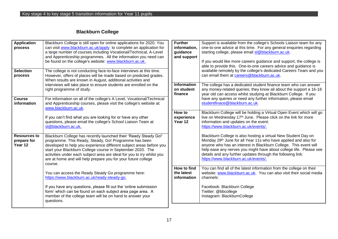# **Blackburn College**

| <b>Application</b><br>process<br><b>Selection</b><br>process | Blackburn College is still open for online applications for 2020. You<br>can visit www.blackburn.ac.uk/apply to complete an application for<br>a large number of courses including Vocational/Technical, A-Level<br>and Apprenticeship programmes. All the information you need can<br>be found on the college's website: www.blackburn.ac.uk.<br>The college is not conducting face-to-face interviews at this time.<br>However, offers of places will be made based on predicted grades.<br>When results are known in August, additional activities and | <b>Further</b><br>information,<br>quidance<br>and support | Support is available from the college's Schools Liaison team for any<br>one-to-one advice at this time. For any general enquiries regarding<br>starting college, please email sl@blackburn.ac.uk.<br>If you would like more careers guidance and support, the college is<br>able to provide this. One-to-one careers advice and guidance is<br>available remotely by the college's dedicated Careers Team and you<br>can email them at careers@blackburn.ac.uk. |
|--------------------------------------------------------------|-----------------------------------------------------------------------------------------------------------------------------------------------------------------------------------------------------------------------------------------------------------------------------------------------------------------------------------------------------------------------------------------------------------------------------------------------------------------------------------------------------------------------------------------------------------|-----------------------------------------------------------|-----------------------------------------------------------------------------------------------------------------------------------------------------------------------------------------------------------------------------------------------------------------------------------------------------------------------------------------------------------------------------------------------------------------------------------------------------------------|
| Course<br>information                                        | interviews will take place to ensure students are enrolled on the<br>right programme of study.<br>For information on all of the college's A Level, Vocational/Technical<br>and Apprenticeship courses, please visit the college's website at:<br>www.blackburn.ac.uk.                                                                                                                                                                                                                                                                                     | <b>Information</b><br>on student<br>finance               | The college has a dedicated student finance team who can answer<br>any money-related queries; they know all about the support a 16-18<br>year old can access whilst studying at Blackburn College. If you<br>have any queries or need any further information, please email<br>studentfinace@blackburn.ac.uk.                                                                                                                                                   |
|                                                              | If you can't find what you are looking for or have any other<br>questions, please email the college's School Liaison Team at<br>sl@blackburn.ac.uk.                                                                                                                                                                                                                                                                                                                                                                                                       | How to<br>experience<br>Year 12                           | Blackburn College will be holding a Virtual Open Event which will go<br>live on Wednesday 17 <sup>th</sup> June. Please click on the link for more<br>information and updates on the event:<br>https://www.blackburn.ac.uk/events/.                                                                                                                                                                                                                             |
| <b>Resources to</b><br>prepare for<br>Year 12                | Blackburn College has recently launched their 'Ready Steady Go!'<br>programme. This Ready, Steady, Go! Programme has been<br>developed to help you experience different subject areas before you<br>start your Blackburn College course in September 2020. The<br>activities under each subject area are ideal for you to try whilst you<br>are at home and will help prepare you for your future college<br>course.                                                                                                                                      |                                                           | Blackburn College is also hosting a virtual New Student Day on<br>Monday 29th June for all Year 11s who have applied and also for<br>anyone who has an interest in Blackburn College. This event will<br>help ease any nerves you might have about college life. Please see<br>details and any further updates through the following link:<br>https://www.blackburn.ac.uk/events/.                                                                              |
|                                                              | You can access the Ready Steady Go programme here:<br>https://www.blackburn.ac.uk/ready-steady-go.<br>If you have any questions, please fill out the 'online submission<br>form' which can be found on each subject area page area. A<br>member of the college team will be on hand to answer your<br>questions.                                                                                                                                                                                                                                          | How to find<br>the latest<br>information                  | You can find all of the latest information from the college on their<br>website: www.blackburn.ac.uk. You can also visit their social media<br>channels:<br>Facebook: Blackburn College<br>Twitter: @bbcollege<br>Instagram: BlackburnCollege                                                                                                                                                                                                                   |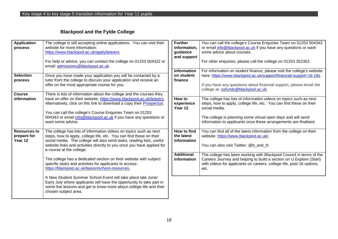# **Blackpool and the Fylde College**

| <b>Application</b><br>process                 | The college is still accepting online applications. You can visit their<br>website for more information:<br>https://www.blackpool.ac.uk/apply/leavers<br>For help or advice, you can contact the college on 01253 504322 or<br>email: admissions@blackpool.ac.uk.                                                       | <b>Further</b><br>information,<br>guidance<br>and support<br>Information | You can call the college's Course Enquiries Team on 01253 504343<br>or email info@blackpool.ac.uk if you have any questions or want<br>some advice about courses.<br>For other enquiries, please call the college on 01253 352352.<br>For information on student finance, please visit the college's website |
|-----------------------------------------------|-------------------------------------------------------------------------------------------------------------------------------------------------------------------------------------------------------------------------------------------------------------------------------------------------------------------------|--------------------------------------------------------------------------|--------------------------------------------------------------------------------------------------------------------------------------------------------------------------------------------------------------------------------------------------------------------------------------------------------------|
| <b>Selection</b><br>process<br><b>Course</b>  | Once you have made your application you will be contacted by a<br>tutor from the college to discuss your application and receive an<br>offer on the most appropriate course for you.<br>There is lots of information about the college and the courses they                                                             | on student<br>finance                                                    | here: https://www.blackpool.ac.uk/support/financial-support-16-18s.<br>If you have any questions about financial support, please email the<br>college at: ssfunds@blackpool.ac.uk.                                                                                                                           |
| information                                   | have on offer on their website: https://www.blackpool.ac.uk/leavers.<br>Alternatively, click on this link to download a copy their <b>Prospectus</b> .<br>You can call the college's Course Enquiries Team on 01253<br>504343 or email info@blackpool.ac.uk if you have any questions or<br>want some advice.           | How to<br>experience<br>Year 12                                          | The college has lots of information videos on topics such as next<br>steps, how to apply, college life, etc. You can find these on their<br>social media.<br>The college is planning some virtual open days and will send<br>information to applicants once these arrangements are finalised.                |
| <b>Resources to</b><br>prepare for<br>Year 12 | The college has lots of information videos on topics such as next<br>steps, how to apply, college life, etc. You can find these on their<br>social media. The college will also send tasks, reading lists, useful<br>website links and activities directly to you once you have applied for<br>a course at the college. | How to find<br>the latest<br>information                                 | You can find all of the latest information from the college on their<br>website: https://www.blackpool.ac.uk/.<br>You can also visit Twitter: @b_and_fc                                                                                                                                                      |
|                                               | The college has a dedicated section on their website with subject<br>specific tasks and activities for applicants to access:<br>https://blackpool.ac.uk/liaison/school-resources.                                                                                                                                       | <b>Additional</b><br>information                                         | The college has been working with Blackpool Council in terms of the<br>Careers Journey and helping to build a section on U Explore (Start)<br>with videos for applicants on careers, college life, post-16 options,<br>etc.                                                                                  |
|                                               | A New Student Summer School Event will take place late June/<br>Early July where applicants will have the opportunity to take part in<br>some live lessons and get to know more about college life and their<br>chosen subject area.                                                                                    |                                                                          |                                                                                                                                                                                                                                                                                                              |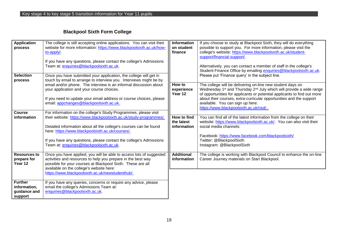# **Blackpool Sixth Form College**

| <b>Application</b><br>process<br><b>Selection</b>         | The college is still accepting online applications. You can visit their<br>website for more information: https://www.blackpoolsixth.ac.uk/how-<br>to-apply/.<br>If you have any questions, please contact the college's Admissions<br>Team at: enquiries@blackpoolsixth.ac.uk.<br>Once you have submitted your application, the college will get in                              | Information<br>on student<br>finance     | If you choose to study at Blackpool Sixth, they will do everything<br>possible to support you. For more information, please visit the<br>college's website: https://www.blackpoolsixth.ac.uk/student-<br>support/financial-support/<br>Alternatively, you can contact a member of staff in the college's<br>Student Finance Office by emailing enquiries@blackpoolsixth.ac.uk.<br>Please put 'Finance query' in the subject line. |
|-----------------------------------------------------------|----------------------------------------------------------------------------------------------------------------------------------------------------------------------------------------------------------------------------------------------------------------------------------------------------------------------------------------------------------------------------------|------------------------------------------|-----------------------------------------------------------------------------------------------------------------------------------------------------------------------------------------------------------------------------------------------------------------------------------------------------------------------------------------------------------------------------------------------------------------------------------|
| process                                                   | touch by email to arrange to interview you. Interviews might be by<br>email and/or phone. The interview is an informal discussion about<br>your application and your course choices.<br>If you need to update your email address or course choices, please<br>email: appchanges@blackpoolsixth.ac.uk.                                                                            | How to<br>experience<br>Year 12          | The college will be delivering on-line new student days on<br>Wednesday 1 <sup>st</sup> and Thursday 2 <sup>nd</sup> July which will provide a wide range<br>of opportunities for applicants or potential applicants to find out more<br>about their courses, extra-curricular opportunities and the support<br>available. You can sign up here:<br>https://www.blackpoolsixth.ac.uk/nsd/                                         |
| <b>Course</b><br>information                              | For information on the college's Study Programmes, please visit<br>their website: https://www.blackpoolsixth.ac.uk/study-programmes/.<br>Detailed information about all the college's courses can be found<br>here: https://www.blackpoolsixth.ac.uk/courses/.<br>If you have any questions, please contact the college's Admissions<br>Team at: enquiries@blackpoolsixth.ac.uk. | How to find<br>the latest<br>information | You can find all of the latest information from the college on their<br>website: https://www.blackpoolsixth.ac.uk/. You can also visit their<br>social media channels:<br>Facebook: https://www.facebook.com/blackpoolsixth/<br>Twitter: @BlackpoolSixth<br>Instagram: @BlackpoolSixth                                                                                                                                            |
| <b>Resources to</b><br>prepare for<br>Year 12             | Once you have applied, you will be able to access lots of suggested<br>activities and resources to help you prepare in the best way<br>possible for your courses at Blackpool Sixth. These are all<br>available on the college's website here:<br>https://www.blackpoolsixth.ac.uk/newstudenthub/.                                                                               | <b>Additional</b><br>information         | The college is working with Blackpool Council to enhance the on-line<br>Career Journey materials on Start Blackpool.                                                                                                                                                                                                                                                                                                              |
| <b>Further</b><br>information,<br>guidance and<br>support | If you have any queries, concerns or require any advice, please<br>email the college's Admissions Team at:<br>enquiries@blackpoolsixth.ac.uk.                                                                                                                                                                                                                                    |                                          |                                                                                                                                                                                                                                                                                                                                                                                                                                   |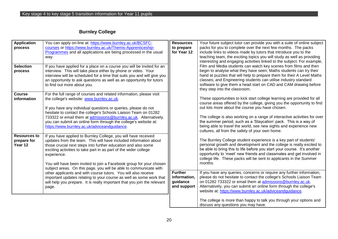# **Burnley College**

| <b>Application</b><br>process<br><b>Selection</b><br>process | You can apply on-line at: https://www.burnley.ac.uk/BCSFC-<br>courses or https://www.burnley.ac.uk/Themis-Apprenticeship-<br>Programmes and all applications are being processed in the usual<br>way.<br>If you have applied for a place on a course you will be invited for an<br>interview. This will take place either by phone or video. Your<br>interview will be scheduled for a time that suits you and will give you<br>an opportunity to ask questions as well as an opportunity for tutors<br>to find out more about you.                                                                                                                              | <b>Resources</b><br>to prepare<br>for Year 12             | Your future subject tutor can provide you with a suite of online subject<br>packs for you to complete over the next few months. The packs<br>include links to videos made by tutors that introduce you to the<br>teaching team, the exciting topics you will study as well as providing<br>interesting and engaging activities linked to the subject. For example,<br>Film and Media students can watch key scenes from films and then<br>begin to analyse what they have seen; Maths students can try their<br>hand at puzzles that will help to prepare them for their A Level Maths<br>classes; and Engineering students can utilise industry standard<br>software to give them a head start on CAD and CAM drawing before<br>they step into the classroom. |
|--------------------------------------------------------------|------------------------------------------------------------------------------------------------------------------------------------------------------------------------------------------------------------------------------------------------------------------------------------------------------------------------------------------------------------------------------------------------------------------------------------------------------------------------------------------------------------------------------------------------------------------------------------------------------------------------------------------------------------------|-----------------------------------------------------------|----------------------------------------------------------------------------------------------------------------------------------------------------------------------------------------------------------------------------------------------------------------------------------------------------------------------------------------------------------------------------------------------------------------------------------------------------------------------------------------------------------------------------------------------------------------------------------------------------------------------------------------------------------------------------------------------------------------------------------------------------------------|
| <b>Course</b><br>information                                 | For the full range of courses and related information, please visit<br>the college's website: www.burnley.ac.uk.<br>If you have any individual questions or queries, please do not<br>hesitate to contact the college's Schools Liaison Team on 01282<br>733322 or email them at admissions@burnley.ac.uk. Alternatively,<br>you can submit an online form through the college's website at:<br>https://www.burnley.ac.uk/adviceandguidance.                                                                                                                                                                                                                     |                                                           | These opportunities to kick start college learning are provided for all<br>course areas offered by the college, giving you the opportunity to find<br>out lots more about the course you have chosen.<br>The college is also working on a range of interactive activities for over<br>the summer period, such as a 'Staycation' pack. This is a way of<br>being able to travel the world, see new sights and experience new<br>cultures, all from the safety of your own home.                                                                                                                                                                                                                                                                                 |
| <b>Resources to</b><br>prepare for<br>Year 12                | If you have applied to Burnley College, you will have received<br>updates from the team. This will have included information about<br>those crucial next steps into further education and also some<br>exciting activities to take part in as part of the wider college<br>experience.<br>You will have been invited to join a Facebook group for your chosen<br>subject areas. On this page, you will be able to communicate with<br>other applicants and with course tutors. You will also receive<br>important updates relating to your course as well as some work that<br>will help you prepare. It is really important that you join the relevant<br>page. | <b>Further</b><br>information,<br>guidance<br>and support | The Burnley College student experience is a key part of students'<br>personal growth and development and the college is really excited to<br>be able to bring this to life before you start your course. It's another<br>opportunity to 'meet' new friends and classmates and get involved in<br>college life. These packs will be sent to applicants in the Summer<br>months.<br>If you have any queries, concerns or require any further information,<br>please do not hesitate to contact the college's Schools Liaison Team<br>on 01282 733322 or email them at admissions@burnley.ac.uk.<br>Alternatively, you can submit an online form through the college's<br>website at: https://www.burnley.ac.uk/adviceandguidance.                                |
|                                                              |                                                                                                                                                                                                                                                                                                                                                                                                                                                                                                                                                                                                                                                                  |                                                           | The college is more than happy to talk you through your options and<br>discuss any questions you may have.                                                                                                                                                                                                                                                                                                                                                                                                                                                                                                                                                                                                                                                     |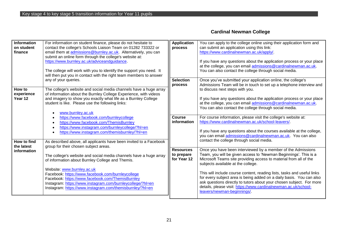### **Cardinal Newman College**

| <b>Information</b><br>on student<br>finance | For information on student finance, please do not hesitate to<br>contact the college's Schools Liaison Team on 01282 733322 or<br>email them at admissions@burnley.ac.uk. Alternatively, you can<br>submit an online form through the college's website at:<br>https://www.burnley.ac.uk/adviceandguidance.<br>The college will work with you to identify the support you need. It<br>will then put you in contact with the right team members to answer                                               | <b>Application</b><br>process                 | You can apply to the college online using their application form and<br>can submit an application using this link:<br>https://www.cardinalnewman.ac.uk/apply/<br>If you have any questions about the application process or your place<br>at the college, you can email admissions@cardinalnewman.ac.uk.<br>You can also contact the college through social media.                                                                                                                                                                                                      |
|---------------------------------------------|--------------------------------------------------------------------------------------------------------------------------------------------------------------------------------------------------------------------------------------------------------------------------------------------------------------------------------------------------------------------------------------------------------------------------------------------------------------------------------------------------------|-----------------------------------------------|-------------------------------------------------------------------------------------------------------------------------------------------------------------------------------------------------------------------------------------------------------------------------------------------------------------------------------------------------------------------------------------------------------------------------------------------------------------------------------------------------------------------------------------------------------------------------|
| How to<br>experience<br>Year 12             | any of your queries.<br>The college's website and social media channels have a huge array<br>of information about the Burnley College Experience, with videos<br>and imagery to show you exactly what life as a Burnley College<br>student is like. Please use the following links:<br>www.burnley.ac.uk                                                                                                                                                                                               | <b>Selection</b><br>process                   | Once you've submitted your application online, the college's<br>Admissions Team will be in touch to set up a telephone interview and<br>to discuss next steps with you.<br>If you have any questions about the application process or your place<br>at the college, you can email admissions@cardinalnewman.ac.uk.<br>You can also contact the college through social media.                                                                                                                                                                                            |
|                                             | https://www.facebook.com/burnleycollege<br>https://www.facebook.com/ThemisBurnley<br>https://www.instagram.com/burnleycollege/?hl=en<br>https://www.instagram.com/themisburnley/?hl=en                                                                                                                                                                                                                                                                                                                 | <b>Course</b><br>information                  | For course information, please visit the college's website at:<br>https://www.cardinalnewman.ac.uk/school-leavers/.<br>If you have any questions about the courses available at the college,<br>you can email admissions@cardinalnewman.ac.uk. You can also<br>contact the college through social media.                                                                                                                                                                                                                                                                |
| How to find<br>the latest<br>information    | As described above, all applicants have been invited to a Facebook<br>group for their chosen subject areas.<br>The college's website and social media channels have a huge array<br>of information about Burnley College and Themis.<br>Website: www.burnley.ac.uk<br>Facebook: https://www.facebook.com/burnleycollege<br>Facebook: https://www.facebook.com/ThemisBurnley<br>Instagram: https://www.instagram.com/burnleycollege/?hl=en<br>Instagram: https://www.instagram.com/themisburnley/?hl=en | <b>Resources</b><br>to prepare<br>for Year 12 | Once you have been interviewed by a member of the Admissions<br>Team, you will be given access to 'Newman Beginnings'. This is a<br>Microsoft Teams site providing access to material from all of the<br>subjects available at the college.<br>This will include course content, reading lists, tasks and useful links<br>for every subject area is being added on a daily basis. You can also<br>ask questions directly to tutors about your chosen subject. For more<br>details, please visit: https://www.cardinalnewman.ac.uk/school-<br>leavers/newman-beginnings/ |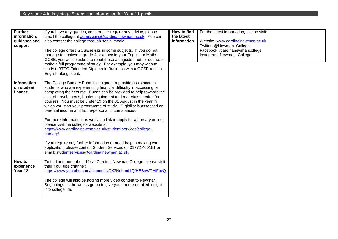| <b>Further</b><br>information,<br>guidance and<br>support | If you have any queries, concerns or require any advice, please<br>email the college at admissions@cardinalnewman.ac.uk. You can<br>also contact the college through social media.<br>The college offers GCSE re-sits in some subjects. If you do not<br>manage to achieve a grade 4 or above in your English or Maths<br>GCSE, you will be asked to re-sit these alongside another course to<br>make a full programme of study. For example, you may wish to<br>study a BTEC Extended Diploma in Business with a GCSE resit in<br>English alongside it.                                                                                                                                                                                       | How to find<br>the latest<br>information | For the latest information, please visit:<br>Website: www.cardinalnewman.ac.uk<br>Twitter: @Newman_College<br>Facebook: /cardinanewmancollege<br>Instagram: Newman_College |
|-----------------------------------------------------------|------------------------------------------------------------------------------------------------------------------------------------------------------------------------------------------------------------------------------------------------------------------------------------------------------------------------------------------------------------------------------------------------------------------------------------------------------------------------------------------------------------------------------------------------------------------------------------------------------------------------------------------------------------------------------------------------------------------------------------------------|------------------------------------------|----------------------------------------------------------------------------------------------------------------------------------------------------------------------------|
| <b>Information</b><br>on student<br>finance               | The College Bursary Fund is designed to provide assistance to<br>students who are experiencing financial difficulty in accessing or<br>completing their course. Funds can be provided to help towards the<br>cost of travel, meals, books, equipment and materials needed for<br>courses. You must be under 19 on the 31 August in the year in<br>which you start your programme of study. Eligibility is assessed on<br>parental income and home/personal circumstances.<br>For more information, as well as a link to apply for a bursary online,<br>please visit the college's website at:<br>https://www.cardinalnewman.ac.uk/student-services/college-<br>bursary/.<br>If you require any further information or need help in making your |                                          |                                                                                                                                                                            |
| How to<br>experience<br>Year 12                           | application, please contact Student Services on 01772 460181 or<br>email: studentservices@cardinalnewman.ac.uk.<br>To find out more about life at Cardinal Newman College, please visit<br>their YouTube channel:<br>https://www.youtube.com/channel/UCX3Nohmd1QfHEBnWTHiFbvQ<br>The college will also be adding more video content to Newman<br>Beginnings as the weeks go on to give you a more detailed insight<br>into college life.                                                                                                                                                                                                                                                                                                       |                                          |                                                                                                                                                                            |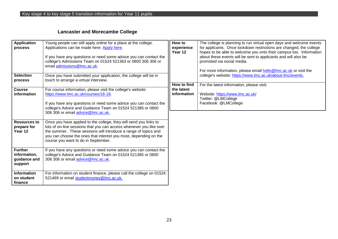# **Lancaster and Morecambe College**

| <b>Application</b><br>process<br><b>Selection</b><br>process | Young people can still apply online for a place at the college.<br>Applications can be made here: Apply here.<br>If you have any questions or need some advice you can contact the<br>college's Admissions Team on 01524 521363 or 0800 306 306 or<br>email admissions@lmc.ac.uk.<br>Once you have submitted your application, the college will be in<br>touch to arrange a virtual interview. | How to<br>experience<br>Year 12          | The college is planning to run virtual open days and welcome events<br>for applicants. Once lockdown restrictions are changed, the college<br>hopes to be able to welcome you onto their campus too. Information<br>about these events will be sent to applicants and will also be<br>promoted via social media.<br>For more information, please email hello@lmc.ac.uk or visit the<br>college's website: https://www.lmc.ac.uk/about-Imc/events. |
|--------------------------------------------------------------|------------------------------------------------------------------------------------------------------------------------------------------------------------------------------------------------------------------------------------------------------------------------------------------------------------------------------------------------------------------------------------------------|------------------------------------------|---------------------------------------------------------------------------------------------------------------------------------------------------------------------------------------------------------------------------------------------------------------------------------------------------------------------------------------------------------------------------------------------------------------------------------------------------|
| <b>Course</b><br>information                                 | For course information, please visit the college's website:<br>https://www.lmc.ac.uk/courses/16-18.<br>If you have any questions or need some advice you can contact the<br>college's Advice and Guidance Team on 01524 521385 or 0800<br>306 306 or email advice@lmc.ac.uk.                                                                                                                   | How to find<br>the latest<br>information | For the latest information, please visit:<br>Website: https://www.lmc.ac.uk/<br>Twitter: @LMCollege<br>Facebook: @LMCollege                                                                                                                                                                                                                                                                                                                       |
| <b>Resources to</b><br>prepare for<br>Year 12                | Once you have applied to the college, they will send you links to<br>lots of on-line sessions that you can access whenever you like over<br>the summer. These sessions will introduce a range of topics and<br>you can choose the ones that interest you most, depending on the<br>course you want to do in September.                                                                         |                                          |                                                                                                                                                                                                                                                                                                                                                                                                                                                   |
| <b>Further</b><br>information,<br>guidance and<br>support    | If you have any questions or need some advice you can contact the<br>college's Advice and Guidance Team on 01524 521385 or 0800<br>306 306 or email advice@lmc.ac.uk.                                                                                                                                                                                                                          |                                          |                                                                                                                                                                                                                                                                                                                                                                                                                                                   |
| <b>Information</b><br>on student<br>l finance                | For information on student finance, please call the college on 01524<br>521469 or email studentmoney@lmc.ac.uk.                                                                                                                                                                                                                                                                                |                                          |                                                                                                                                                                                                                                                                                                                                                                                                                                                   |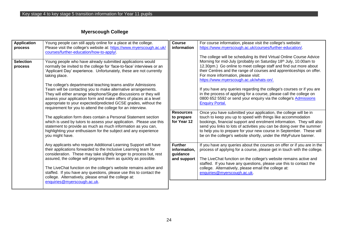# **Myerscough College**

| <b>Application</b><br>process | Young people can still apply online for a place at the college.<br>Please visit the college's website at: https://www.myerscough.ac.uk/<br>courses/further-education/how-to-apply/                                                                                                                                                                                                                                                                                              | <b>Course</b><br>information                              | For course information, please visit the college's website:<br>https://www.myerscough.ac.uk/courses/further-education/                                                                                                                                                                                                                                                                                                        |
|-------------------------------|---------------------------------------------------------------------------------------------------------------------------------------------------------------------------------------------------------------------------------------------------------------------------------------------------------------------------------------------------------------------------------------------------------------------------------------------------------------------------------|-----------------------------------------------------------|-------------------------------------------------------------------------------------------------------------------------------------------------------------------------------------------------------------------------------------------------------------------------------------------------------------------------------------------------------------------------------------------------------------------------------|
| <b>Selection</b><br>process   | Young people who have already submitted applications would<br>normally be invited to the college for 'face-to-face' interviews or an<br>'Applicant Day' experience. Unfortunately, these are not currently<br>taking place.                                                                                                                                                                                                                                                     |                                                           | The college will be scheduling its third Virtual Online Course Advice<br>Morning for mid-July (probably on Saturday 18th July, 10.00am to<br>12.30pm.) Go online to meet college staff and find out more about<br>their Centres and the range of courses and apprenticeships on offer.<br>For more information, please visit:<br>https://www.myerscough.ac.uk/whats-on/.                                                      |
|                               | The college's departmental teaching teams and/or Admissions<br>Team will be contacting you to make alternative arrangements.<br>They will either arrange telephone/Skype discussions or they will<br>assess your application form and make offers of places at a level<br>appropriate to your expected/predicted GCSE grades, without the<br>requirement for you to attend the college for an interview.                                                                        |                                                           | If you have any queries regarding the college's courses or if you are<br>in the process of applying for a course, please call the college on<br>0800 652 5592 or send your enquiry via the college's Admissions<br><b>Enquiry Portal.</b>                                                                                                                                                                                     |
|                               | The application form does contain a Personal Statement section<br>which is used by tutors to assess your application. Please use this<br>statement to provide as much as much information as you can,<br>highlighting your enthusiasm for the subject and any experience<br>you might have.                                                                                                                                                                                     | <b>Resources</b><br>to prepare<br>for Year 12             | Once you have submitted your application, the college will be in<br>touch to keep you up to speed with things like accommodation<br>bookings, financial support and enrolment information. They will also<br>send you links to lots of activities you can be doing over the summer<br>to help you to prepare for your new course in September. These will<br>be on the college's website shortly, under the #MyFuture banner. |
|                               | Any applicants who require Additional Learning Support will have<br>their applications forwarded to the Inclusive Learning team for<br>consideration. These may take slightly longer to process but, rest<br>assured, the college will progress them as quickly as possible.<br>The LiveChat function on the college's website remains active and<br>staffed. If you have any questions, please use this to contact the<br>college. Alternatively, please email the college at: | <b>Further</b><br>information,<br>guidance<br>and support | If you have any queries about the courses on offer or if you are in the<br>process of applying for a course, please get in touch with the college.<br>The LiveChat function on the college's website remains active and<br>staffed. If you have any questions, please use this to contact the<br>college. Alternatively, please email the college at:<br>enquiries@myerscough.ac.uk.                                          |
|                               | enquiries@myerscough.ac.uk.                                                                                                                                                                                                                                                                                                                                                                                                                                                     |                                                           |                                                                                                                                                                                                                                                                                                                                                                                                                               |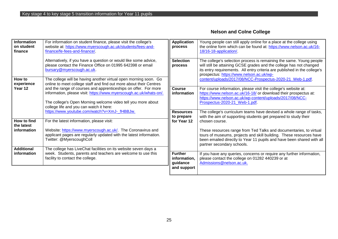# **Nelson and Colne College**

| <b>Information</b><br>on student<br>finance | For information on student finance, please visit the college's<br>website at: https://www.myerscough.ac.uk/students/fees-and-<br>finance/fe-fees-and-finance/.                                                                                   | <b>Application</b><br>process                             | Young people can still apply online for a place at the college using<br>the online form which can be found at: https://www.nelson.ac.uk/16-<br>18/16-18-application/                                                                                                |
|---------------------------------------------|--------------------------------------------------------------------------------------------------------------------------------------------------------------------------------------------------------------------------------------------------|-----------------------------------------------------------|---------------------------------------------------------------------------------------------------------------------------------------------------------------------------------------------------------------------------------------------------------------------|
|                                             | Alternatively, if you have a question or would like some advice,<br>please contact the Finance Office on 01995 642398 or email<br>bursary@myerscough.ac.uk.                                                                                      | <b>Selection</b><br>process                               | The college's selection process is remaining the same. Young people<br>will still be attaining GCSE grades and the college has not changed<br>its entry requirements. All entry criteria are published in the college's<br>prospectus: https://www.nelson.ac.uk/wp- |
| How to<br>experience                        | The college will be having another virtual open morning soon. Go<br>online to meet college staff and find out more about their Centres                                                                                                           |                                                           | content/uploads/2017/08/NCC-Prospectus-2020-21_Web-1.pdf.                                                                                                                                                                                                           |
| Year 12                                     | and the range of courses and apprenticeships on offer. For more<br>information, please visit: https://www.myerscough.ac.uk/whats-on/.<br>The college's Open Morning welcome video tell you more about<br>college life and you can watch it here: | <b>Course</b><br>information                              | For course information, please visit the college's website at:<br>https://www.nelson.ac.uk/16-18/ or download their prospectus at:<br>https://www.nelson.ac.uk/wp-content/uploads/2017/08/NCC-<br>Prospectus-2020-21_Web-1.pdf.                                     |
|                                             | https://www.youtube.com/watch?v=XmJ-_fHBBJw.                                                                                                                                                                                                     | <b>Resources</b><br>to prepare                            | The college's curriculum teams have devised a whole range of tasks,<br>with the aim of supporting students get prepared to study their                                                                                                                              |
| How to find<br>the latest                   | For the latest information, please visit:                                                                                                                                                                                                        | for Year 12                                               | chosen course.                                                                                                                                                                                                                                                      |
| information                                 | Website: https://www.myerscough.ac.uk/. The Coronavirus and<br>applicant pages are regularly updated with the latest information.<br>Twitter: @MyerscoughColl                                                                                    |                                                           | These resources range from Ted Talks and documentaries, to virtual<br>tours of museums, projects and skill building. These resources have<br>been emailed directly to Year 11 pupils and have been shared with all<br>partner secondary schools.                    |
| <b>Additional</b><br>information            | The college has LiveChat facilities on its website seven days a<br>week. Students, parents and teachers are welcome to use this<br>facility to contact the college.                                                                              | <b>Further</b><br>information.<br>guidance<br>and support | If you have any queries, concerns or require any further information,<br>please contact the college on 01282 440239 or at<br>Admissions@nelson.ac.uk.                                                                                                               |
|                                             |                                                                                                                                                                                                                                                  |                                                           |                                                                                                                                                                                                                                                                     |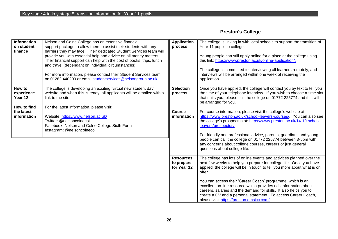### **Preston's College**

| <b>Information</b><br>on student<br>finance    | Nelson and Colne College has an extensive financial<br>support package to allow them to assist their students with any<br>barriers they may face. Their dedicated Student Services team will<br>provide you with essential help and advice on all money matters.<br>Their financial support can help with the cost of books, trips, lunch<br>and travel (dependant on individual circumstances).<br>For more information, please contact their Student Services team<br>on 01282 440209 or email studentservices@nelsongroup.ac.uk. | <b>Application</b><br>process                 | The college is linking in with local schools to support the transition of<br>Year 11 pupils to college.<br>Young people can still apply online for a place at the college using<br>this link: https://www.preston.ac.uk/online-application/.<br>The college is committed to interviewing all learners remotely, and<br>interviews will be arranged within one week of receiving the<br>application.                                                                                                                                                   |
|------------------------------------------------|-------------------------------------------------------------------------------------------------------------------------------------------------------------------------------------------------------------------------------------------------------------------------------------------------------------------------------------------------------------------------------------------------------------------------------------------------------------------------------------------------------------------------------------|-----------------------------------------------|-------------------------------------------------------------------------------------------------------------------------------------------------------------------------------------------------------------------------------------------------------------------------------------------------------------------------------------------------------------------------------------------------------------------------------------------------------------------------------------------------------------------------------------------------------|
| How to<br>experience<br>Year 12<br>How to find | The college is developing an exciting 'virtual new student day'<br>website and when this is ready, all applicants will be emailed with a<br>link to the site.                                                                                                                                                                                                                                                                                                                                                                       | <b>Selection</b><br>process                   | Once you have applied, the college will contact you by text to tell you<br>the time of your telephone interview. If you wish to choose a time slot<br>that suits you, please call the college on 01772 225774 and this will<br>be arranged for you.                                                                                                                                                                                                                                                                                                   |
| the latest<br>information                      | For the latest information, please visit:<br>Website: https://www.nelson.ac.uk/<br>Twitter: @nelsoncolnecoll<br>Facebook: Nelson and Colne College Sixth Form<br>Instagram: @nelsoncolnecoll                                                                                                                                                                                                                                                                                                                                        | <b>Course</b><br>information                  | For course information, please visit the college's website at:<br>https://www.preston.ac.uk/school-leavers-courses/. You can also see<br>the college's prospectus at: https://www.preston.ac.uk/14-19-school-<br>leavers/prospectus/.<br>For friendly and professional advice, parents, guardians and young<br>people can call the college on 01772 225774 between 3-5pm with<br>any concerns about college courses, careers or just general<br>questions about college life.                                                                         |
|                                                |                                                                                                                                                                                                                                                                                                                                                                                                                                                                                                                                     | <b>Resources</b><br>to prepare<br>for Year 12 | The college has lots of online events and activities planned over the<br>next few weeks to help you prepare for college life. Once you have<br>applied, the college will be in touch to tell you more about what is on<br>offer.<br>You can access their 'Career Coach' programme, which is an<br>excellent on-line resource which provides rich information about<br>careers, salaries and the demand for skills. It also helps you to<br>create a CV and a personal statement. To access Career Coach,<br>please visit https://preston.emsicc.com/. |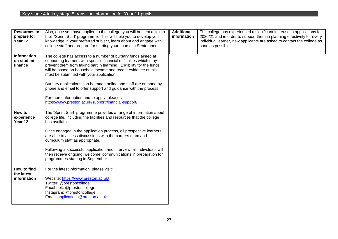| <b>Resources to</b><br>prepare for<br>Year 12 | Also, once you have applied to the college, you will be sent a link to<br>their 'Sprint Start' programme. This will help you to develop your<br>knowledge in your preferred subject, learn about and engage with<br>college staff and prepare for starting your course in September.                                    | <b>Additional</b><br>information | The college has experienced a significant increase in applications for<br>2020/21 and in order to support them in planning effectively for every<br>individual learner, new applicants are asked to contact the college as<br>soon as possible. |
|-----------------------------------------------|-------------------------------------------------------------------------------------------------------------------------------------------------------------------------------------------------------------------------------------------------------------------------------------------------------------------------|----------------------------------|-------------------------------------------------------------------------------------------------------------------------------------------------------------------------------------------------------------------------------------------------|
| <b>Information</b><br>on student<br>finance   | The college has access to a number of bursary funds aimed at<br>supporting learners with specific financial difficulties which may<br>prevent them from taking part in learning. Eligibility for the funds<br>will be based on household income and recent evidence of this<br>must be submitted with your application. |                                  |                                                                                                                                                                                                                                                 |
|                                               | Bursary applications can be made online and staff are on hand by<br>phone and email to offer support and guidance with the process.<br>For more information and to apply, please visit:<br>https://www.preston.ac.uk/support/financial-support/                                                                         |                                  |                                                                                                                                                                                                                                                 |
| How to<br>experience<br>Year 12               | The 'Sprint Start' programme provides a range of information about<br>college life, including the facilities and resources that the college<br>has available.                                                                                                                                                           |                                  |                                                                                                                                                                                                                                                 |
|                                               | Once engaged in the application process, all prospective learners<br>are able to access discussions with the careers team and<br>curriculum staff as appropriate.                                                                                                                                                       |                                  |                                                                                                                                                                                                                                                 |
|                                               | Following a successful application and interview, all individuals will<br>then receive ongoing 'welcome' communications in preparation for<br>programmes starting in September.                                                                                                                                         |                                  |                                                                                                                                                                                                                                                 |
| How to find<br>the latest<br>information      | For the latest information, please visit:<br>Website: https://www.preston.ac.uk/<br>Twitter: @prestoncollege<br>Facebook: @prestoncollege<br>Instagram: @prestoncollege<br>Email: applications@preston.ac.uk                                                                                                            |                                  |                                                                                                                                                                                                                                                 |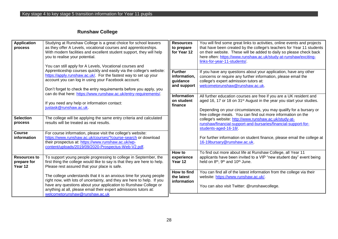### **Runshaw College**

| <b>Application</b><br>process                 | Studying at Runshaw College is a great choice for school leavers<br><b>Resources</b><br>as they offer A Levels, vocational courses and apprenticeships.<br>to prepare<br>for Year 12<br>With modern facilities and excellent student support, they will help<br>you to realise your potential.<br>You can still apply for A Levels, Vocational courses and |                                                           | You will find some great links to activities, online events and projects<br>that have been created by the college's teachers for Year 11 students<br>on their website. These will be added to daily so please check back<br>here often: https://www.runshaw.ac.uk/study-at-runshaw/exciting-<br>links-for-year-11-students/ |
|-----------------------------------------------|------------------------------------------------------------------------------------------------------------------------------------------------------------------------------------------------------------------------------------------------------------------------------------------------------------------------------------------------------------|-----------------------------------------------------------|-----------------------------------------------------------------------------------------------------------------------------------------------------------------------------------------------------------------------------------------------------------------------------------------------------------------------------|
|                                               | Apprenticeship courses quickly and easily via the college's website:<br>https://apply.runshaw.ac.uk/. For the fastest way to set up your<br>account you can log in using your Facebook account.<br>Don't forget to check the entry requirements before you apply, you                                                                                      | <b>Further</b><br>information,<br>quidance<br>and support | If you have any questions about your application, have any other<br>concerns or require any further information, please email the<br>college's expert admission tutors at:<br>welcometorunshaw@runshaw.ac.uk.                                                                                                               |
|                                               | can do that here: https://www.runshaw.ac.uk/entry-requirements/<br>If you need any help or information contact:<br>justask@runshaw.ac.uk.                                                                                                                                                                                                                  | <b>Information</b><br>on student<br>finance               | All further education courses are free if you are a UK resident and<br>aged 16, 17 or 18 on 31 <sup>st</sup> August in the year you start your studies.<br>Depending on your circumstances, you may qualify for a bursary or<br>free college meals. You can find out more information on the                                |
| <b>Selection</b><br>process                   | The college will be applying the same entry criteria and calculated<br>results will be treated as real results.                                                                                                                                                                                                                                            |                                                           | college's website: http://www.runshaw.ac.uk/study-at-<br>runshaw/financial-support-and-bursaries/financial-support-for-<br>students-aged-16-18/.                                                                                                                                                                            |
| <b>Course</b><br>information                  | For course information, please visit the college's website:<br>https://www.runshaw.ac.uk/courses/?course-search or download<br>their prospectus at: https://www.runshaw.ac.uk/wp-<br>content/uploads/2019/09/2020-Prospectus-Web-V2.pdf.                                                                                                                   |                                                           | For further information on student finance, please email the college at<br>16-19bursary@runshaw.ac.uk.                                                                                                                                                                                                                      |
| <b>Resources to</b><br>prepare for<br>Year 12 | To support young people progressing to college in September, the<br>first thing the college would like to say is that they are here to help.<br>Please rest assured that your place is safe.                                                                                                                                                               | How to<br>experience<br>Year 12                           | To find out more about life at Runshaw College, all Year 11<br>applicants have been invited to a VIP "new student day" event being<br>held on 8 <sup>th</sup> , 9 <sup>th</sup> and 10 <sup>th</sup> June.                                                                                                                  |
|                                               | The college understands that it is an anxious time for young people<br>right now, with lots of uncertainty, and they are here to help. If you<br>have any questions about your application to Runshaw College or<br>anything at all, please email their expert admissions tutors at:<br>welcometorunshaw@runshaw.ac.uk                                     | How to find<br>the latest<br>information                  | You can find all of the latest information from the college via their<br>website: https://www.runshaw.ac.uk/.<br>You can also visit Twitter: @runshawcollege.                                                                                                                                                               |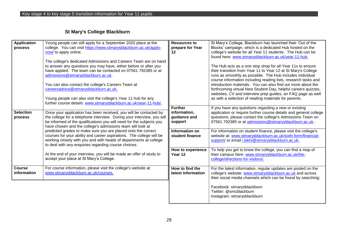# **St Mary's College Blackburn**

| <b>Application</b><br>process | Young people can still apply for a September 2020 place at the<br>college. You can visit https://www.stmarysblackburn.ac.uk/apply-<br>now/ to apply online.<br>The college's dedicated Admissions and Careers Team are on hand<br>to answer any questions you may have, either before or after you<br>have applied. The team can be contacted on 07561 792385 or at<br>admissions@stmarysblackburn.ac.uk.<br>You can also contact the college's Careers Team at<br>careersadvice@stmarysblackburn.ac.uk.<br>Young people can also visit the college's Year 11 hub for any<br>further course details: www.stmarysblackburn.ac.uk/year-11-hub/. | <b>Resources to</b><br>prepare for Year<br>12                                                  | St Mary's College, Blackburn has launched their 'Out of the<br>Blocks' campaign, which is a dedicated Hub hosted on the<br>college's website for all Year 11 students. The Hub can be<br>found here: www.stmarysblackburn.ac.uk/year-11-hub.<br>The Hub acts as a one stop shop for all Year 11s to ensure<br>their transition from Year 11 to Year 12 at St Mary's College<br>runs as smoothly as possible. The Hub includes individual<br>course information including reading lists, research tasks and<br>introduction materials. You can also find out more about the<br>forthcoming virtual New Student Day, helpful careers quizzes,<br>websites, CV and interview prep guides, an FAQ page as well<br>as with a selection of reading materials for parents. |
|-------------------------------|-----------------------------------------------------------------------------------------------------------------------------------------------------------------------------------------------------------------------------------------------------------------------------------------------------------------------------------------------------------------------------------------------------------------------------------------------------------------------------------------------------------------------------------------------------------------------------------------------------------------------------------------------|------------------------------------------------------------------------------------------------|---------------------------------------------------------------------------------------------------------------------------------------------------------------------------------------------------------------------------------------------------------------------------------------------------------------------------------------------------------------------------------------------------------------------------------------------------------------------------------------------------------------------------------------------------------------------------------------------------------------------------------------------------------------------------------------------------------------------------------------------------------------------|
| <b>Selection</b><br>process   | Once your application has been received, you will be contacted by<br>the college for a telephone interview. During your interview, you will<br>be informed of the qualifications you will need for the subjects you<br>have chosen and the college's admissions team will look at<br>predicted grades to make sure you are placed onto the correct<br>courses for your ability and career aspirations. The college will be<br>working closely with you and with heads of departments at college<br>to deal with any enquiries regarding course choices.                                                                                       | <b>Further</b><br>information,<br>guidance and<br>support<br>Information on<br>student finance | If you have any questions regarding a new or existing<br>application or require further course details and general college<br>questions, please contact the college's Admissions Team on<br>07561 792385 or at admissions@stmarysblackburn.ac.uk.<br>For information on student finance, please visit the college's<br>website at: www.stmarysblackburn.ac.uk/sixth-form/financial-<br>support/ or email i.lakhi@stmarysblackburn.ac.uk.                                                                                                                                                                                                                                                                                                                            |
|                               | At the end of your interview, you will be made an offer of study to<br>accept your place at St Mary's College.                                                                                                                                                                                                                                                                                                                                                                                                                                                                                                                                | How to experience<br>Year 12                                                                   | To help you get to know the college, you can find a map of<br>their campus here: www.stmarysblackburn.ac.uk/the-<br>college/directions-for-visitors/.                                                                                                                                                                                                                                                                                                                                                                                                                                                                                                                                                                                                               |
| <b>Course</b><br>information  | For course information, please visit the college's website at:<br>www.stmarysblackburn.ac.uk/courses.                                                                                                                                                                                                                                                                                                                                                                                                                                                                                                                                         | How to find the<br>latest information                                                          | For the latest information, regular updates are posted on the<br>college's website: www.stmarysblackburn.ac.uk and across<br>their social media channels which can be found by searching:<br>Facebook: stmarysblackburn<br>Twitter: @smcblackburn<br>Instagram: stmarysblackburn                                                                                                                                                                                                                                                                                                                                                                                                                                                                                    |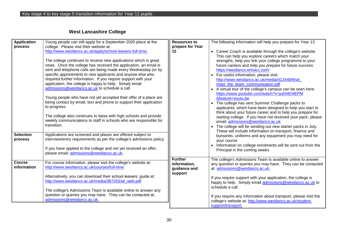# **West Lancashire College**

| <b>Application</b> | Young people can still apply for a September 2020 place at the                                                        | <b>Resources to</b> | The following information will help you prepare for Year 12:     |
|--------------------|-----------------------------------------------------------------------------------------------------------------------|---------------------|------------------------------------------------------------------|
| process            | college. Please visit their website at:                                                                               | prepare for Year    |                                                                  |
|                    | http://www.westlancs.ac.uk/apply/school-leavers-full-time.                                                            | 12                  | • Career Coach is available through the college's website.       |
|                    |                                                                                                                       |                     | This can help you explore careers which match your               |
|                    | The college continues to receive new applications which is great                                                      |                     | strengths, help you link your college programme to your          |
|                    | news. Once the college has received the application, an email is                                                      |                     | future careers and help you prepare for future success:          |
|                    | sent and telephone calls are being made every Wednesday (or by                                                        |                     | https://westlancs.emsicc.com/                                    |
|                    | specific appointment) to new applicants and anyone else who                                                           |                     | • For useful information, please visit:                          |
|                    | required further information. If you require support with your                                                        |                     | http://www.westlancs.ac.uk/media/412448/final                    |
|                    | application, the college is happy to help. Simply email                                                               |                     | meet the team communication.pdf                                  |
|                    | admissions@westlancs.ac.uk to schedule a call.                                                                        |                     | • A virtual tour of the college's campus can be seen here:       |
|                    |                                                                                                                       |                     | https://www.youtube.com/watch?v=ju04IEHIEPM                      |
|                    | Young people who have not yet accepted their offer of a place are                                                     |                     | &feature=youtu.be                                                |
|                    | being contact by email, text and phone to support their application                                                   |                     | • The college has sent Summer Challenge packs to                 |
|                    | to progress.                                                                                                          |                     | applicants, which have been designed to help you start to        |
|                    |                                                                                                                       |                     | think about your future career and to help you prepare for       |
|                    | The college also continues to liaise with high schools and provide                                                    |                     | starting college. If you have not received your pack, please     |
|                    | weekly communications to staff in schools who are responsible for                                                     |                     | email: admissions@westlancs.ac.uk                                |
|                    | transition.                                                                                                           |                     | The college will be sending out new starter packs in July.       |
|                    |                                                                                                                       |                     | These will include information on transport, finance and         |
| <b>Selection</b>   | Applications are screened and places are offered subject to                                                           |                     | bursaries, uniforms and any equipment you may need for           |
| process            | interview/entry requirements as per the college's admissions policy.                                                  |                     | your course                                                      |
|                    |                                                                                                                       |                     | Information on college enrolments will be sent out from the      |
|                    | If you have applied to the college and not yet received an offer,                                                     |                     | Principal in the coming weeks                                    |
|                    | please email: admissions@westlancs.ac.uk.                                                                             |                     |                                                                  |
|                    |                                                                                                                       | <b>Further</b>      | The college's Admissions Team is available online to answer      |
| <b>Course</b>      | For course information, please visit the college's website at:                                                        | information,        | any question or queries you may have. They can be contacted      |
| information        | http://www.westlancs.ac.uk/courses/full-time.                                                                         | guidance and        | at: admissions@westlancs.ac.uk.                                  |
|                    |                                                                                                                       | support             |                                                                  |
|                    | Alternatively, you can download their school leavers' guide at:<br>http://www.westlancs.ac.uk/media/387253/wl_web.pdf |                     | If you require support with your application, the college is     |
|                    |                                                                                                                       |                     | happy to help. Simply email admissions@westlancs.ac.uk to        |
|                    | The college's Admissions Team is available online to answer any                                                       |                     | schedule a call.                                                 |
|                    | question or queries you may have. They can be contacted at:                                                           |                     |                                                                  |
|                    | admissions@westlancs.ac.uk.                                                                                           |                     | If you require any information about transport, please visit the |
|                    |                                                                                                                       |                     | college's website at: http://www.westlancs.ac.uk/student-        |
|                    |                                                                                                                       |                     | support/transport.                                               |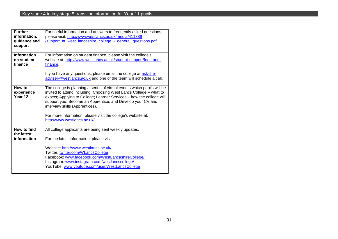| <b>Further</b><br>information,<br>guidance and<br>support | For useful information and answers to frequently asked questions,<br>please visit: http://www.westlancs.ac.uk/media/411389<br>/support_at_west_lancashire_college_-_general_questions.pdf.                                                                                                                                                                                                                             |
|-----------------------------------------------------------|------------------------------------------------------------------------------------------------------------------------------------------------------------------------------------------------------------------------------------------------------------------------------------------------------------------------------------------------------------------------------------------------------------------------|
| Information<br>on student<br>finance                      | For information on student finance, please visit the college's<br>website at: http://www.westlancs.ac.uk/student-support/fees-and-<br>finance.<br>If you have any questions, please email the college at ask-the-<br>adviser@westlancs.ac.uk and one of the team will schedule a call.                                                                                                                                 |
| How to<br>experience<br>Year 12                           | The college is planning a series of virtual events which pupils will be<br>invited to attend including: Choosing West Lancs College - what to<br>expect; Applying to College; Learner Services - how the college will<br>support you; Become an Apprentice; and Develop your CV and<br>interview skills (Apprentices).<br>For more information, please visit the college's website at:<br>http://www.westlancs.ac.uk/. |
| How to find<br>the latest<br>information                  | All college applicants are being sent weekly updates.<br>For the latest information, please visit:<br>Website: http://www.westlancs.ac.uk/.<br>Twitter: twitter.com/WLancsCollege<br>Facebook: www.facebook.com/WestLancashireCollege/<br>Instagram: www.instagram.com/westlancscollege/<br>YouTube: www.youtube.com/user/WestLancsCollege                                                                             |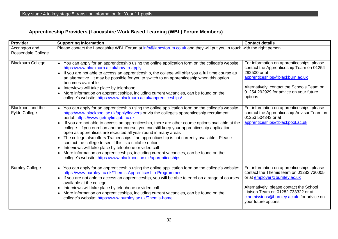### **Apprenticeship Providers (Lancashire Work Based Learning (WBL) Forum Members)**

| <b>Provider</b>                           | <b>Supporting Information</b>                                                                                                                                                                                                                                                                                                                                                                                                                                                                                                                                                                                                                                                                                                                                                                                                                                                                                         | <b>Contact details</b>                                                                                                                                                                                                                                                     |
|-------------------------------------------|-----------------------------------------------------------------------------------------------------------------------------------------------------------------------------------------------------------------------------------------------------------------------------------------------------------------------------------------------------------------------------------------------------------------------------------------------------------------------------------------------------------------------------------------------------------------------------------------------------------------------------------------------------------------------------------------------------------------------------------------------------------------------------------------------------------------------------------------------------------------------------------------------------------------------|----------------------------------------------------------------------------------------------------------------------------------------------------------------------------------------------------------------------------------------------------------------------------|
| Accrington and<br>Rossendale College      | Please contact the Lancashire WBL Forum at info@lancsforum.co.uk and they will put you in touch with the right person.                                                                                                                                                                                                                                                                                                                                                                                                                                                                                                                                                                                                                                                                                                                                                                                                |                                                                                                                                                                                                                                                                            |
| <b>Blackburn College</b>                  | You can apply for an apprenticeship using the online application form on the college's website:<br>https://www.blackburn.ac.uk/how-to-apply<br>If you are not able to access an apprenticeship, the college will offer you a full time course as<br>an alternative. It may be possible for you to switch to an apprenticeship when this option<br>becomes available<br>Interviews will take place by telephone<br>$\bullet$<br>More information on apprenticeships, including current vacancies, can be found on the<br>$\bullet$<br>college's website: https://www.blackburn.ac.uk/apprenticeships/                                                                                                                                                                                                                                                                                                                  | For information on apprenticeships, please<br>contact the Apprenticeship Team on 01254<br>292500 or at<br>apprenticeships@blackburn.ac.uk<br>Alternatively, contact the Schools Team on<br>01254 292929 for advice on your future<br>options                               |
| Blackpool and the<br><b>Fylde College</b> | You can apply for an apprenticeship using the online application form on the college's website:<br>https://www.blackpool.ac.uk/apply/leavers or via the college's apprenticeship recruitment<br>portal: https://www.getmyfirstjob.ac.uk<br>If you are not able to access an apprenticeship, there are other course options available at the<br>college. If you enrol on another course, you can still keep your apprenticeship application<br>open as apprentices are recruited all year round in many areas<br>The college also offers Traineeships if an apprenticeship is not currently available. Please<br>$\bullet$<br>contact the college to see if this is a suitable option<br>Interviews will take place by telephone or video call<br>More information on apprenticeships, including current vacancies, can be found on the<br>$\bullet$<br>college's website: https://www.blackpool.ac.uk/apprenticeships | For information on apprenticeships, please<br>contact the Apprenticeship Advisor Team on<br>01253 504343 or at<br>apprenticeships@blackpool.ac.uk                                                                                                                          |
| <b>Burnley College</b>                    | You can apply for an apprenticeship using the online application form on the college's website:<br>https://www.burnley.ac.uk/Themis-Apprenticeship-Programmes<br>If you are not able to access an apprenticeship, you will be able to enrol on a range of courses<br>$\bullet$<br>available at the college<br>Interviews will take place by telephone or video call<br>More information on apprenticeships, including current vacancies, can be found on the<br>$\bullet$<br>college's website: https://www.burnley.ac.uk/Themis-home                                                                                                                                                                                                                                                                                                                                                                                 | For information on apprenticeships, please<br>contact the Themis team on 01282 730005<br>or at employer@burnley.ac.uk<br>Alternatively, please contact the School<br>Liaison Team on 01282 733322 or at<br>c.admissions@burnley.ac.uk for advice on<br>your future options |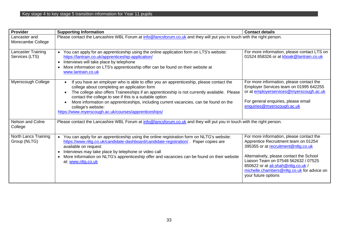#### Key stage 4 to key stage 5 transition information for Year 11 pupils

| <b>Provider</b>                      | <b>Supporting Information</b>                                                                                                                                                                                                                                                                                                                                                                                                                                                          | <b>Contact details</b>                                                                                                                                                                                                                                                                                                 |
|--------------------------------------|----------------------------------------------------------------------------------------------------------------------------------------------------------------------------------------------------------------------------------------------------------------------------------------------------------------------------------------------------------------------------------------------------------------------------------------------------------------------------------------|------------------------------------------------------------------------------------------------------------------------------------------------------------------------------------------------------------------------------------------------------------------------------------------------------------------------|
| Lancaster and<br>Morecambe College   | Please contact the Lancashire WBL Forum at info@lancsforum.co.uk and they will put you in touch with the right person.                                                                                                                                                                                                                                                                                                                                                                 |                                                                                                                                                                                                                                                                                                                        |
| Lancaster Training<br>Services (LTS) | You can apply for an apprenticeship using the online application form on LTS's website:<br>https://lantrain.co.uk/apprenticeship-application/<br>Interviews will take place by telephone<br>More information on LTS's apprenticeship offer can be found on their website at<br>www.lantrain.co.uk                                                                                                                                                                                      | For more information, please contact LTS on<br>01524 858326 or at kboak@lantrain.co.uk                                                                                                                                                                                                                                 |
| <b>Myerscough College</b>            | If you have an employer who is able to offer you an apprenticeship, please contact the<br>$\bullet$<br>college about completing an application form<br>The college also offers Traineeships if an apprenticeship is not currently available. Please<br>contact the college to see if this is a suitable option<br>More information on apprenticeships, including current vacancies, can be found on the<br>college's website:<br>https://www.myerscough.ac.uk/courses/apprenticeships/ | For more information, please contact the<br>Employer Services team on 01995 642255<br>or at employerservices@myerscough.ac.uk<br>For general enquiries, please email<br>enquiries@myerscough.ac.uk                                                                                                                     |
| Nelson and Colne<br>College          | Please contact the Lancashire WBL Forum at info@lancsforum.co.uk and they will put you in touch with the right person.                                                                                                                                                                                                                                                                                                                                                                 |                                                                                                                                                                                                                                                                                                                        |
| North Lancs Training<br>Group (NLTG) | You can apply for an apprenticeship using the online registration form on NLTG's website:<br>https://www.nltg.co.uk/candidate-dashboard/candidate-registration/ Paper copies are<br>available on request<br>Interviews may take place by telephone or video call<br>More information on NLTG's apprenticeship offer and vacancies can be found on their website<br>at: www.nltg.co.uk                                                                                                  | For more information, please contact the<br>Apprentice Recruitment team on 01254<br>395355 or at recruitment@nltg.co.uk<br>Alternatively, please contact the School<br>Liaison Team on 07548 562632 / 07525<br>850622 or at ali.shah@nltg.co.uk /<br>michelle.chambers@nltg.co.uk for advice on<br>your future options |